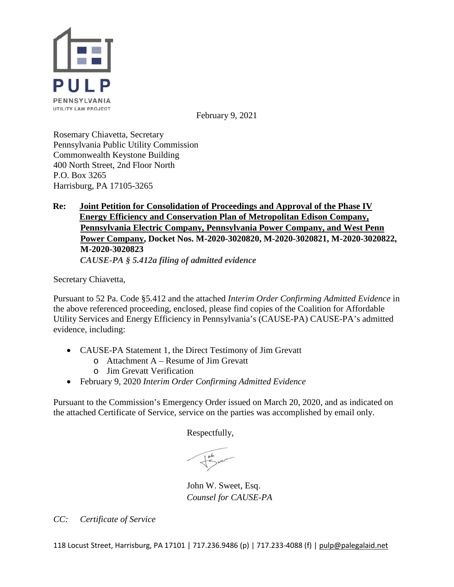

February 9, 2021

Rosemary Chiavetta, Secretary Pennsylvania Public Utility Commission Commonwealth Keystone Building 400 North Street, 2nd Floor North P.O. Box 3265 Harrisburg, PA 17105-3265

### **Re: Joint Petition for Consolidation of Proceedings and Approval of the Phase IV Energy Efficiency and Conservation Plan of Metropolitan Edison Company, Pennsylvania Electric Company, Pennsylvania Power Company, and West Penn Power Company, Docket Nos. M-2020-3020820, M-2020-3020821, M-2020-3020822, M-2020-3020823**

*CAUSE-PA § 5.412a filing of admitted evidence*

Secretary Chiavetta,

Pursuant to 52 Pa. Code §5.412 and the attached *Interim Order Confirming Admitted Evidence* in the above referenced proceeding, enclosed, please find copies of the Coalition for Affordable Utility Services and Energy Efficiency in Pennsylvania's (CAUSE-PA) CAUSE-PA's admitted evidence, including:

- CAUSE-PA Statement 1, the Direct Testimony of Jim Grevatt
	- o Attachment A Resume of Jim Grevatt
	- o Jim Grevatt Verification
- February 9, 2020 *Interim Order Confirming Admitted Evidence*

Pursuant to the Commission's Emergency Order issued on March 20, 2020, and as indicated on the attached Certificate of Service, service on the parties was accomplished by email only.

Respectfully,

John W. Sweet, Esq. *Counsel for CAUSE-PA*

*CC: Certificate of Service*

118 Locust Street, Harrisburg, PA 17101 | 717.236.9486 (p) | 717.233-4088 (f) [| pulp@palegalaid.net](mailto:pulp@palegalaid.net)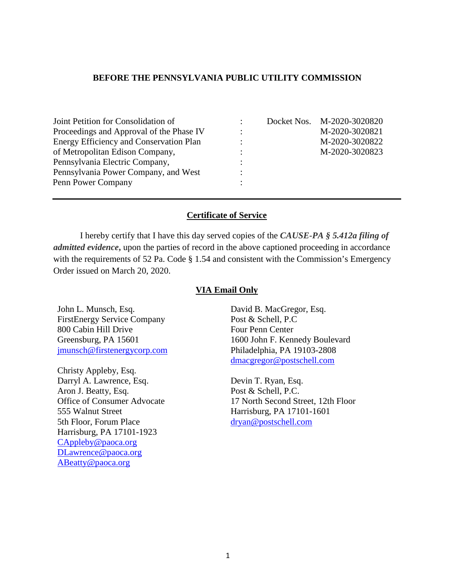### **BEFORE THE PENNSYLVANIA PUBLIC UTILITY COMMISSION**

| Joint Petition for Consolidation of      |           | Docket Nos. M-2020-3020820 |
|------------------------------------------|-----------|----------------------------|
| Proceedings and Approval of the Phase IV |           | M-2020-3020821             |
| Energy Efficiency and Conservation Plan  |           | M-2020-3020822             |
| of Metropolitan Edison Company,          | $\bullet$ | M-2020-3020823             |
| Pennsylvania Electric Company,           |           |                            |
| Pennsylvania Power Company, and West     |           |                            |
| Penn Power Company                       |           |                            |

#### **Certificate of Service**

I hereby certify that I have this day served copies of the *CAUSE-PA § 5.412a filing of admitted evidence*, upon the parties of record in the above captioned proceeding in accordance with the requirements of 52 Pa. Code § 1.54 and consistent with the Commission's Emergency Order issued on March 20, 2020.

#### **VIA Email Only**

John L. Munsch, Esq. FirstEnergy Service Company 800 Cabin Hill Drive Greensburg, PA 15601 [jmunsch@firstenergycorp.com](mailto:jmunsch@firstenergycorp.com)

Christy Appleby, Esq. Darryl A. Lawrence, Esq. Aron J. Beatty, Esq. Office of Consumer Advocate 555 Walnut Street 5th Floor, Forum Place Harrisburg, PA 17101-1923 [CAppleby@paoca.org](mailto:CAppleby@paoca.org) [DLawrence@paoca.org](mailto:DLawrence@paoca.org) [ABeatty@paoca.org](mailto:ABeatty@paoca.org)

David B. MacGregor, Esq. Post & Schell, P.C Four Penn Center 1600 John F. Kennedy Boulevard Philadelphia, PA 19103-2808 [dmacgregor@postschell.com](mailto:dmacgregor@postschell.com)

Devin T. Ryan, Esq. Post & Schell, P.C. 17 North Second Street, 12th Floor Harrisburg, PA 17101-1601 [dryan@postschell.com](mailto:dryan@postschell.com)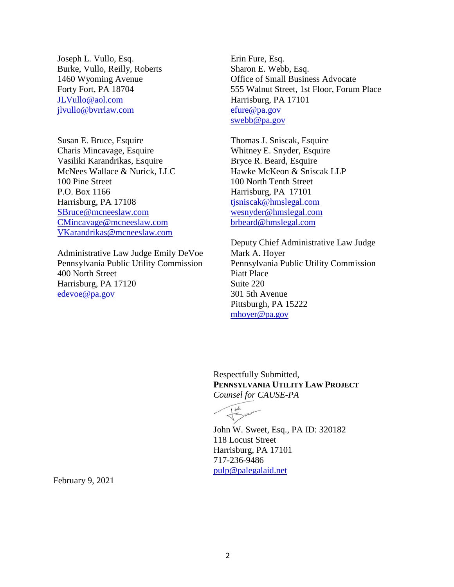Joseph L. Vullo, Esq. Burke, Vullo, Reilly, Roberts 1460 Wyoming Avenue Forty Fort, PA 18704 [JLVullo@aol.com](mailto:JLVullo@aol.com) [jlvullo@bvrrlaw.com](mailto:jlvullo@bvrrlaw.com)

Susan E. Bruce, Esquire Charis Mincavage, Esquire Vasiliki Karandrikas, Esquire McNees Wallace & Nurick, LLC 100 Pine Street P.O. Box 1166 Harrisburg, PA 17108 [SBruce@mcneeslaw.com](mailto:SBruce@mcneeslaw.com) [CMincavage@mcneeslaw.com](mailto:CMincavage@mcneeslaw.com) [VKarandrikas@mcneeslaw.com](mailto:VKarandrikas@mcneeslaw.com)

Administrative Law Judge Emily DeVoe Pennsylvania Public Utility Commission 400 North Street Harrisburg, PA 17120 [edevoe@pa.gov](mailto:edevoe@pa.gov)

Erin Fure, Esq. Sharon E. Webb, Esq. Office of Small Business Advocate 555 Walnut Street, 1st Floor, Forum Place Harrisburg, PA 17101 [efure@pa.gov](mailto:efure@pa.gov) [swebb@pa.gov](mailto:swebb@pa.gov)

Thomas J. Sniscak, Esquire Whitney E. Snyder, Esquire Bryce R. Beard, Esquire Hawke McKeon & Sniscak LLP 100 North Tenth Street Harrisburg, PA 17101 [tjsniscak@hmslegal.com](mailto:tjsniscak@hmslegal.com) [wesnyder@hmslegal.com](mailto:wesnyder@hmslegal.com) [brbeard@hmslegal.com](mailto:brbeard@hmslegal.com)

Deputy Chief Administrative Law Judge Mark A. Hoyer Pennsylvania Public Utility Commission Piatt Place Suite 220 301 5th Avenue Pittsburgh, PA 15222 [mhoyer@pa.gov](mailto:mhoyer@pa.gov)

Respectfully Submitted, **PENNSYLVANIA UTILITY LAW PROJECT** *Counsel for CAUSE-PA*

John W. Sweet, Esq., PA ID: 320182 118 Locust Street Harrisburg, PA 17101 717-236-9486 [pulp@palegalaid.net](mailto:pulp@palegalaid.net)

February 9, 2021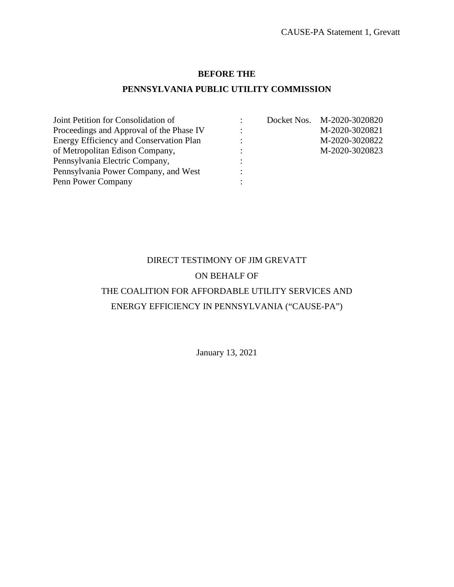### **BEFORE THE**

### **PENNSYLVANIA PUBLIC UTILITY COMMISSION**

| Joint Petition for Consolidation of      |  | Docket Nos. M-2020-3020820 |
|------------------------------------------|--|----------------------------|
| Proceedings and Approval of the Phase IV |  | M-2020-3020821             |
| Energy Efficiency and Conservation Plan  |  | M-2020-3020822             |
| of Metropolitan Edison Company,          |  | M-2020-3020823             |
| Pennsylvania Electric Company,           |  |                            |
| Pennsylvania Power Company, and West     |  |                            |
| Penn Power Company                       |  |                            |

### DIRECT TESTIMONY OF JIM GREVATT ON BEHALF OF

### THE COALITION FOR AFFORDABLE UTILITY SERVICES AND ENERGY EFFICIENCY IN PENNSYLVANIA ("CAUSE-PA")

January 13, 2021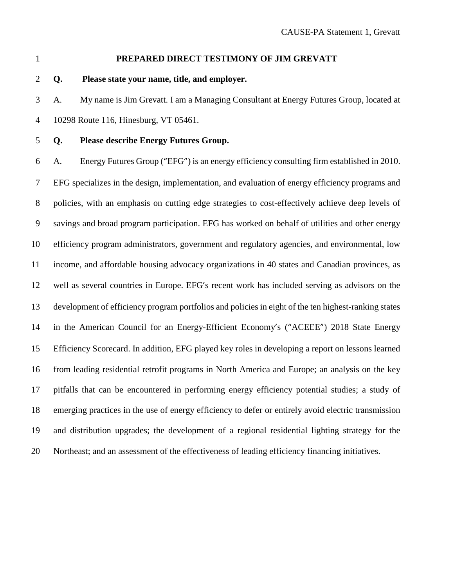### **PREPARED DIRECT TESTIMONY OF JIM GREVATT**

**Q. Please state your name, title, and employer.**

 A. My name is Jim Grevatt. I am a Managing Consultant at Energy Futures Group, located at 10298 Route 116, Hinesburg, VT 05461.

### **Q. Please describe Energy Futures Group.**

 A. Energy Futures Group ("EFG") is an energy efficiency consulting firm established in 2010. EFG specializes in the design, implementation, and evaluation of energy efficiency programs and policies, with an emphasis on cutting edge strategies to cost-effectively achieve deep levels of savings and broad program participation. EFG has worked on behalf of utilities and other energy efficiency program administrators, government and regulatory agencies, and environmental, low income, and affordable housing advocacy organizations in 40 states and Canadian provinces, as well as several countries in Europe. EFG's recent work has included serving as advisors on the development of efficiency program portfolios and policies in eight of the ten highest-ranking states in the American Council for an Energy-Efficient Economy's ("ACEEE") 2018 State Energy Efficiency Scorecard. In addition, EFG played key roles in developing a report on lessons learned from leading residential retrofit programs in North America and Europe; an analysis on the key pitfalls that can be encountered in performing energy efficiency potential studies; a study of emerging practices in the use of energy efficiency to defer or entirely avoid electric transmission and distribution upgrades; the development of a regional residential lighting strategy for the Northeast; and an assessment of the effectiveness of leading efficiency financing initiatives.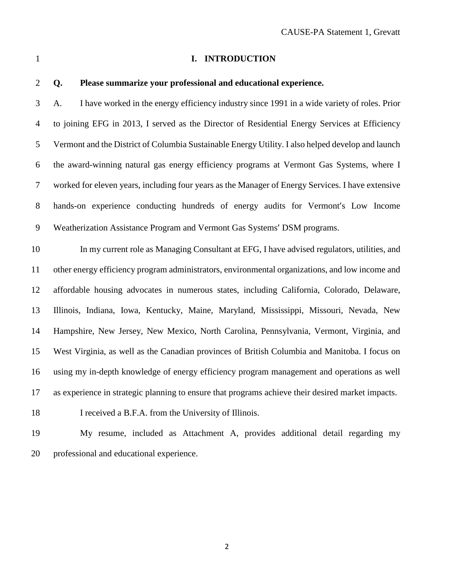#### **I. INTRODUCTION**

### **Q. Please summarize your professional and educational experience.**

 A. I have worked in the energy efficiency industry since 1991 in a wide variety of roles. Prior to joining EFG in 2013, I served as the Director of Residential Energy Services at Efficiency Vermont and the District of Columbia Sustainable Energy Utility. I also helped develop and launch the award-winning natural gas energy efficiency programs at Vermont Gas Systems, where I worked for eleven years, including four years as the Manager of Energy Services. I have extensive hands-on experience conducting hundreds of energy audits for Vermont's Low Income Weatherization Assistance Program and Vermont Gas Systems' DSM programs.

 In my current role as Managing Consultant at EFG, I have advised regulators, utilities, and other energy efficiency program administrators, environmental organizations, and low income and affordable housing advocates in numerous states, including California, Colorado, Delaware, Illinois, Indiana, Iowa, Kentucky, Maine, Maryland, Mississippi, Missouri, Nevada, New Hampshire, New Jersey, New Mexico, North Carolina, Pennsylvania, Vermont, Virginia, and West Virginia, as well as the Canadian provinces of British Columbia and Manitoba. I focus on using my in-depth knowledge of energy efficiency program management and operations as well as experience in strategic planning to ensure that programs achieve their desired market impacts.

I received a B.F.A. from the University of Illinois.

 My resume, included as Attachment A, provides additional detail regarding my professional and educational experience.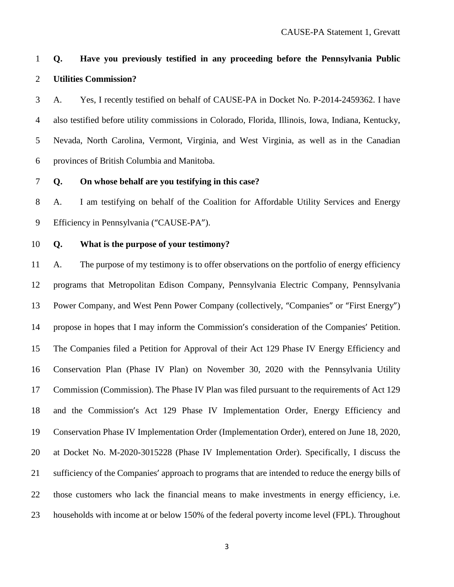### **Q. Have you previously testified in any proceeding before the Pennsylvania Public Utilities Commission?**

 A. Yes, I recently testified on behalf of CAUSE-PA in Docket No. P-2014-2459362. I have also testified before utility commissions in Colorado, Florida, Illinois, Iowa, Indiana, Kentucky, Nevada, North Carolina, Vermont, Virginia, and West Virginia, as well as in the Canadian provinces of British Columbia and Manitoba.

**Q. On whose behalf are you testifying in this case?**

 A. I am testifying on behalf of the Coalition for Affordable Utility Services and Energy Efficiency in Pennsylvania ("CAUSE-PA").

**Q. What is the purpose of your testimony?**

 A. The purpose of my testimony is to offer observations on the portfolio of energy efficiency programs that Metropolitan Edison Company, Pennsylvania Electric Company, Pennsylvania Power Company, and West Penn Power Company (collectively, "Companies" or "First Energy") propose in hopes that I may inform the Commission's consideration of the Companies' Petition. The Companies filed a Petition for Approval of their Act 129 Phase IV Energy Efficiency and Conservation Plan (Phase IV Plan) on November 30, 2020 with the Pennsylvania Utility Commission (Commission). The Phase IV Plan was filed pursuant to the requirements of Act 129 and the Commission's Act 129 Phase IV Implementation Order, Energy Efficiency and Conservation Phase IV Implementation Order (Implementation Order), entered on June 18, 2020, at Docket No. M-2020-3015228 (Phase IV Implementation Order). Specifically, I discuss the sufficiency of the Companies' approach to programs that are intended to reduce the energy bills of those customers who lack the financial means to make investments in energy efficiency, i.e. households with income at or below 150% of the federal poverty income level (FPL). Throughout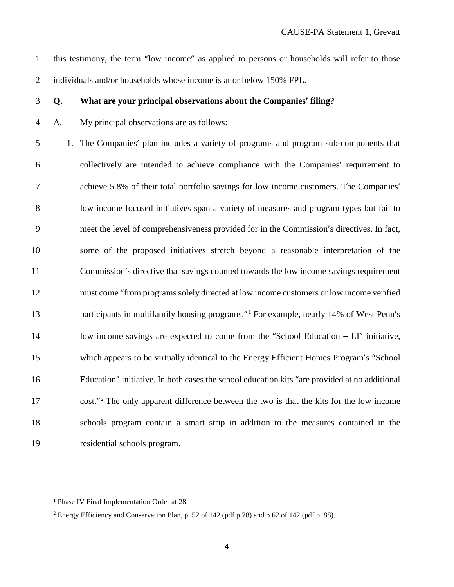this testimony, the term "low income" as applied to persons or households will refer to those 2 individuals and/or households whose income is at or below 150% FPL.

#### **Q. What are your principal observations about the Companies' filing?**

A. My principal observations are as follows:

 1. The Companies' plan includes a variety of programs and program sub-components that collectively are intended to achieve compliance with the Companies' requirement to achieve 5.8% of their total portfolio savings for low income customers. The Companies' low income focused initiatives span a variety of measures and program types but fail to meet the level of comprehensiveness provided for in the Commission's directives. In fact, some of the proposed initiatives stretch beyond a reasonable interpretation of the Commission's directive that savings counted towards the low income savings requirement must come "from programs solely directed at low income customers or low income verified 3 participants in multifamily housing programs."<sup>1</sup> For example, nearly 14% of West Penn's 14 low income savings are expected to come from the "School Education – LI" initiative, which appears to be virtually identical to the Energy Efficient Homes Program's "School Education" initiative. In both cases the school education kits "are provided at no additional cost."<sup>[2](#page-7-1)</sup> The only apparent difference between the two is that the kits for the low income schools program contain a smart strip in addition to the measures contained in the residential schools program.

<span id="page-7-0"></span><sup>&</sup>lt;sup>1</sup> Phase IV Final Implementation Order at 28.

<span id="page-7-1"></span>Energy Efficiency and Conservation Plan, p. 52 of 142 (pdf p.78) and p.62 of 142 (pdf p. 88).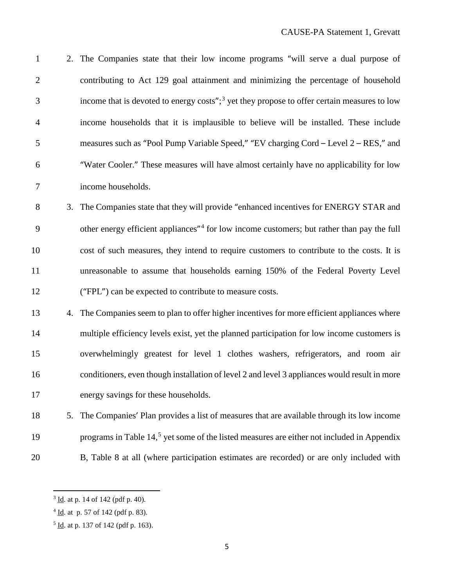| $\mathbf{1}$   |    | 2. The Companies state that their low income programs "will serve a dual purpose of                     |
|----------------|----|---------------------------------------------------------------------------------------------------------|
| $\mathbf{2}$   |    | contributing to Act 129 goal attainment and minimizing the percentage of household                      |
| 3              |    | income that is devoted to energy costs"; <sup>3</sup> yet they propose to offer certain measures to low |
| $\overline{4}$ |    | income households that it is implausible to believe will be installed. These include                    |
| 5              |    | measures such as "Pool Pump Variable Speed," "EV charging Cord – Level 2 – RES," and                    |
| 6              |    | "Water Cooler." These measures will have almost certainly have no applicability for low                 |
| 7              |    | income households.                                                                                      |
| 8              |    | 3. The Companies state that they will provide "enhanced incentives for ENERGY STAR and                  |
| 9              |    | other energy efficient appliances <sup>"4</sup> for low income customers; but rather than pay the full  |
| 10             |    | cost of such measures, they intend to require customers to contribute to the costs. It is               |
| 11             |    | unreasonable to assume that households earning 150% of the Federal Poverty Level                        |
| 12             |    | ("FPL") can be expected to contribute to measure costs.                                                 |
| 13             | 4. | The Companies seem to plan to offer higher incentives for more efficient appliances where               |
| 14             |    | multiple efficiency levels exist, yet the planned participation for low income customers is             |
| 15             |    | overwhelmingly greatest for level 1 clothes washers, refrigerators, and room air                        |
| 16             |    | conditioners, even though installation of level 2 and level 3 appliances would result in more           |
| 17             |    | energy savings for these households.                                                                    |
| 18             | 5. | The Companies' Plan provides a list of measures that are available through its low income               |
| 19             |    | programs in Table 14, <sup>5</sup> yet some of the listed measures are either not included in Appendix  |
| 20             |    | B, Table 8 at all (where participation estimates are recorded) or are only included with                |

<span id="page-8-0"></span> $3 \underline{\text{Id}}$ . at p. 14 of 142 (pdf p. 40).

<span id="page-8-1"></span><u>Id</u>. at p. 57 of 142 (pdf p. 83).

<span id="page-8-2"></span> $5 \underline{\text{Id}}$ . at p. 137 of 142 (pdf p. 163).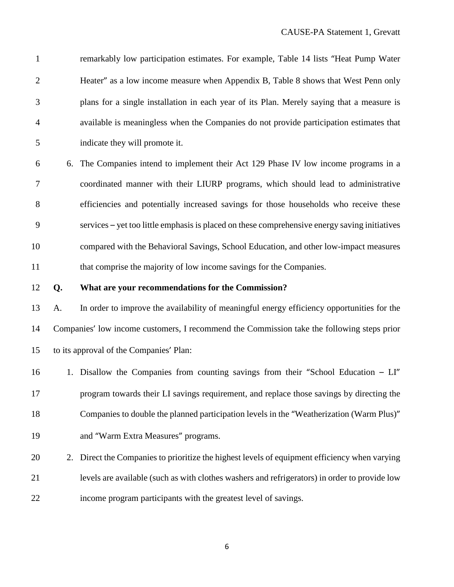| $\mathbf{1}$   |    | remarkably low participation estimates. For example, Table 14 lists "Heat Pump Water          |
|----------------|----|-----------------------------------------------------------------------------------------------|
| $\overline{c}$ |    | Heater" as a low income measure when Appendix B, Table 8 shows that West Penn only            |
| 3              |    | plans for a single installation in each year of its Plan. Merely saying that a measure is     |
| 4              |    | available is meaningless when the Companies do not provide participation estimates that       |
| 5              |    | indicate they will promote it.                                                                |
| 6              |    | 6. The Companies intend to implement their Act 129 Phase IV low income programs in a          |
| 7              |    | coordinated manner with their LIURP programs, which should lead to administrative             |
| $8\,$          |    | efficiencies and potentially increased savings for those households who receive these         |
| 9              |    | services – yet too little emphasis is placed on these comprehensive energy saving initiatives |
| 10             |    | compared with the Behavioral Savings, School Education, and other low-impact measures         |
| 11             |    | that comprise the majority of low income savings for the Companies.                           |
|                |    |                                                                                               |
|                | Q. | What are your recommendations for the Commission?                                             |
| 12<br>13       | A. | In order to improve the availability of meaningful energy efficiency opportunities for the    |
| 14             |    | Companies' low income customers, I recommend the Commission take the following steps prior    |
| 15             |    | to its approval of the Companies' Plan:                                                       |
| 16             |    | 1. Disallow the Companies from counting savings from their "School Education - LI"            |
| 17             |    | program towards their LI savings requirement, and replace those savings by directing the      |
| 18             |    | Companies to double the planned participation levels in the "Weatherization (Warm Plus)"      |
| 19             |    | and "Warm Extra Measures" programs.                                                           |
| 20             | 2. | Direct the Companies to prioritize the highest levels of equipment efficiency when varying    |
| 21             |    | levels are available (such as with clothes washers and refrigerators) in order to provide low |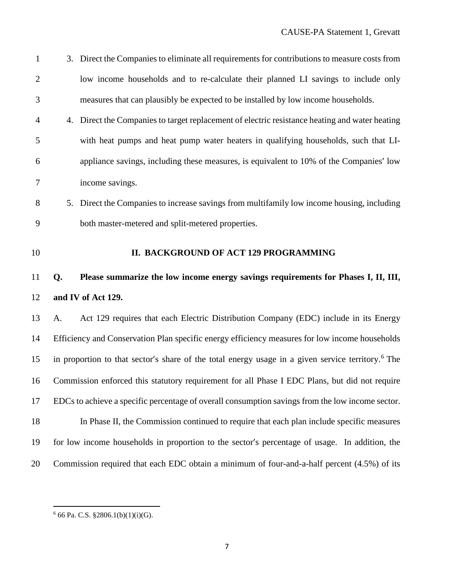| $\mathbf{1}$   |    | 3. Direct the Companies to eliminate all requirements for contributions to measure costs from                 |
|----------------|----|---------------------------------------------------------------------------------------------------------------|
| $\overline{2}$ |    | low income households and to re-calculate their planned LI savings to include only                            |
| 3              |    | measures that can plausibly be expected to be installed by low income households.                             |
| $\overline{4}$ |    | 4. Direct the Companies to target replacement of electric resistance heating and water heating                |
| 5              |    | with heat pumps and heat pump water heaters in qualifying households, such that LI-                           |
| 6              |    | appliance savings, including these measures, is equivalent to 10% of the Companies' low                       |
| $\tau$         |    | income savings.                                                                                               |
| 8              |    | 5. Direct the Companies to increase savings from multifamily low income housing, including                    |
| 9              |    | both master-metered and split-metered properties.                                                             |
| 10             |    | II. BACKGROUND OF ACT 129 PROGRAMMING                                                                         |
|                |    |                                                                                                               |
| 11             | Q. | Please summarize the low income energy savings requirements for Phases I, II, III,                            |
| 12             |    | and IV of Act 129.                                                                                            |
| 13             | A. | Act 129 requires that each Electric Distribution Company (EDC) include in its Energy                          |
| 14             |    | Efficiency and Conservation Plan specific energy efficiency measures for low income households                |
| 15             |    | in proportion to that sector's share of the total energy usage in a given service territory. <sup>6</sup> The |
| 16             |    | Commission enforced this statutory requirement for all Phase I EDC Plans, but did not require                 |
| 17             |    | EDCs to achieve a specific percentage of overall consumption savings from the low income sector.              |
| 18             |    | In Phase II, the Commission continued to require that each plan include specific measures                     |
| 19             |    | for low income households in proportion to the sector's percentage of usage. In addition, the                 |

<span id="page-10-0"></span> $^6$  66 Pa. C.S. §2806.1(b)(1)(i)(G).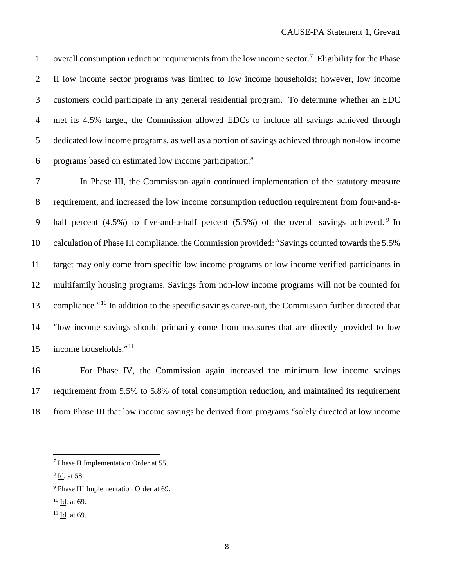1 overall consumption reduction requirements from the low income sector.<sup>[7](#page-11-0)</sup> Eligibility for the Phase II low income sector programs was limited to low income households; however, low income customers could participate in any general residential program. To determine whether an EDC met its 4.5% target, the Commission allowed EDCs to include all savings achieved through dedicated low income programs, as well as a portion of savings achieved through non-low income 6 programs based on estimated low income participation.<sup>[8](#page-11-1)</sup>

 In Phase III, the Commission again continued implementation of the statutory measure requirement, and increased the low income consumption reduction requirement from four-and-a- half percent  $(4.5\%)$  to five-and-a-half percent  $(5.5\%)$  of the overall savings achieved. <sup>9</sup> In 10 calculation of Phase III compliance, the Commission provided: "Savings counted towards the 5.5% target may only come from specific low income programs or low income verified participants in multifamily housing programs. Savings from non-low income programs will not be counted for 13 compliance."<sup>[10](#page-11-3)</sup> In addition to the specific savings carve-out, the Commission further directed that "low income savings should primarily come from measures that are directly provided to low 15 income households. $^{\prime\prime}$ <sup>[11](#page-11-4)</sup>

 For Phase IV, the Commission again increased the minimum low income savings requirement from 5.5% to 5.8% of total consumption reduction, and maintained its requirement from Phase III that low income savings be derived from programs "solely directed at low income

<span id="page-11-0"></span>Phase II Implementation Order at 55.

<span id="page-11-1"></span>Id. at 58.

<span id="page-11-2"></span>Phase III Implementation Order at 69.

<span id="page-11-3"></span>Id. at 69.

<span id="page-11-4"></span>Id. at 69.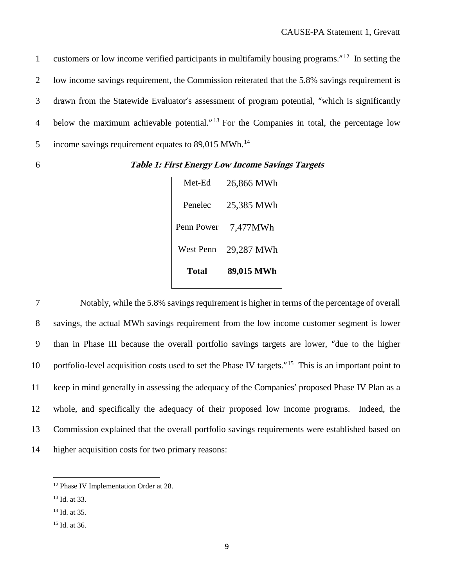1 customers or low income verified participants in multifamily housing programs."<sup>[12](#page-12-0)</sup> In setting the 2 low income savings requirement, the Commission reiterated that the 5.8% savings requirement is 3 drawn from the Statewide Evaluator's assessment of program potential, "which is significantly 4 below the maximum achievable potential."  $^{13}$  $^{13}$  $^{13}$  For the Companies in total, the percentage low 5 income savings requirement equates to  $89,015$  MWh.<sup>[14](#page-12-2)</sup>

6 **Table 1: First Energy Low Income Savings Targets**

| Met-Ed           | 26,866 MWh |
|------------------|------------|
| Penelec          | 25,385 MWh |
| Penn Power       | 7,477MWh   |
| <b>West Penn</b> | 29,287 MWh |
| Total            | 89,015 MWh |

 Notably, while the 5.8% savings requirement is higher in terms of the percentage of overall savings, the actual MWh savings requirement from the low income customer segment is lower than in Phase III because the overall portfolio savings targets are lower, "due to the higher 10 portfolio-level acquisition costs used to set the Phase IV targets."<sup>[15](#page-12-3)</sup> This is an important point to keep in mind generally in assessing the adequacy of the Companies' proposed Phase IV Plan as a whole, and specifically the adequacy of their proposed low income programs. Indeed, the Commission explained that the overall portfolio savings requirements were established based on higher acquisition costs for two primary reasons:

<span id="page-12-0"></span> <sup>12</sup> Phase IV Implementation Order at 28.

<span id="page-12-1"></span><sup>13</sup> Id. at 33.

<span id="page-12-2"></span><sup>&</sup>lt;sup>14</sup> Id. at 35.

<span id="page-12-3"></span><sup>15</sup> Id. at 36.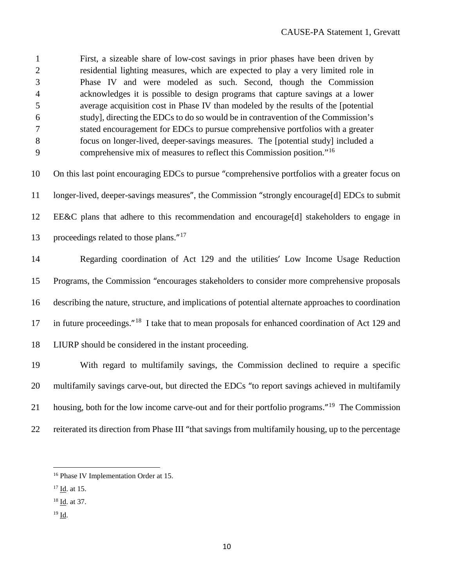First, a sizeable share of low-cost savings in prior phases have been driven by residential lighting measures, which are expected to play a very limited role in Phase IV and were modeled as such. Second, though the Commission acknowledges it is possible to design programs that capture savings at a lower average acquisition cost in Phase IV than modeled by the results of the [potential study], directing the EDCs to do so would be in contravention of the Commission's stated encouragement for EDCs to pursue comprehensive portfolios with a greater focus on longer-lived, deeper-savings measures. The [potential study] included a comprehensive mix of measures to reflect this Commission position."[16](#page-13-0) On this last point encouraging EDCs to pursue "comprehensive portfolios with a greater focus on longer-lived, deeper-savings measures", the Commission "strongly encourage[d] EDCs to submit EE&C plans that adhere to this recommendation and encourage[d] stakeholders to engage in 13 proceedings related to those plans. Regarding coordination of Act 129 and the utilities' Low Income Usage Reduction Programs, the Commission "encourages stakeholders to consider more comprehensive proposals describing the nature, structure, and implications of potential alternate approaches to coordination 17 in future proceedings."<sup>[18](#page-13-2)</sup> I take that to mean proposals for enhanced coordination of Act 129 and LIURP should be considered in the instant proceeding. With regard to multifamily savings, the Commission declined to require a specific multifamily savings carve-out, but directed the EDCs "to report savings achieved in multifamily 21 housing, both for the low income carve-out and for their portfolio programs."<sup>[19](#page-13-3)</sup> The Commission reiterated its direction from Phase III "that savings from multifamily housing, up to the percentage

- <span id="page-13-1"></span>Id. at 15.
- <span id="page-13-2"></span>Id. at 37.
- <span id="page-13-3"></span>Id.

<span id="page-13-0"></span>Phase IV Implementation Order at 15.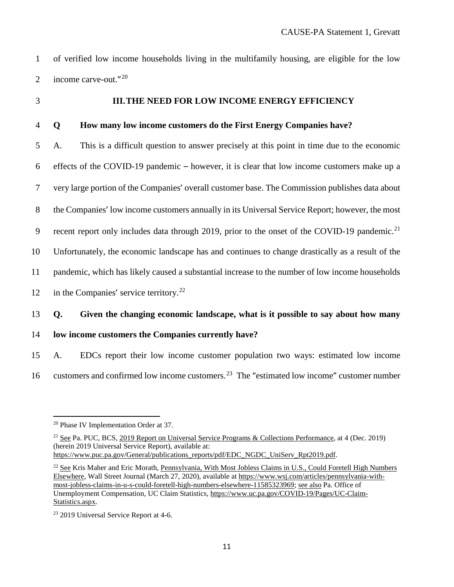of verified low income households living in the multifamily housing, are eligible for the low 2 income carve-out." $2^{20}$  $2^{20}$  $2^{20}$ 

#### **III.THE NEED FOR LOW INCOME ENERGY EFFICIENCY**

#### **Q How many low income customers do the First Energy Companies have?**

 A. This is a difficult question to answer precisely at this point in time due to the economic effects of the COVID-19 pandemic – however, it is clear that low income customers make up a very large portion of the Companies' overall customer base. The Commission publishes data about the Companies' low income customers annually in its Universal Service Report; however, the most 9 recent report only includes data through 2019, prior to the onset of the COVID-19 pandemic.<sup>[21](#page-14-1)</sup> Unfortunately, the economic landscape has and continues to change drastically as a result of the pandemic, which has likely caused a substantial increase to the number of low income households 12 in the Companies' service territory.<sup>[22](#page-14-2)</sup>

### **Q. Given the changing economic landscape, what is it possible to say about how many**

**low income customers the Companies currently have?**

 A. EDCs report their low income customer population two ways: estimated low income customers and confirmed low income customers.<sup>23</sup> The "estimated low income" customer number

<span id="page-14-0"></span>Phase IV Implementation Order at 37.

<span id="page-14-1"></span> See Pa. PUC, BCS, 2019 Report on Universal Service Programs & Collections Performance, at 4 (Dec. 2019) (herein 2019 Universal Service Report), available at: [https://www.puc.pa.gov/General/publications\\_reports/pdf/EDC\\_NGDC\\_UniServ\\_Rpt2019.pdf.](https://www.puc.pa.gov/General/publications_reports/pdf/EDC_NGDC_UniServ_Rpt2019.pdf)

<span id="page-14-2"></span><sup>&</sup>lt;sup>22</sup> See Kris Maher and Eric Morath, Pennsylvania, With Most Jobless Claims in U.S., Could Foretell High Numbers Elsewhere, Wall Street Journal (March 27, 2020), available at [https://www.wsj.com/articles/pennsylvania-with](https://www.wsj.com/articles/pennsylvania-with-most-jobless-claims-in-u-s-could-foretell-high-numbers-elsewhere-11585323969)[most-jobless-claims-in-u-s-could-foretell-high-numbers-elsewhere-11585323969;](https://www.wsj.com/articles/pennsylvania-with-most-jobless-claims-in-u-s-could-foretell-high-numbers-elsewhere-11585323969) see also Pa. Office of Unemployment Compensation, UC Claim Statistics, [https://www.uc.pa.gov/COVID-19/Pages/UC-Claim-](https://www.uc.pa.gov/COVID-19/Pages/UC-Claim-Statistics.aspx)[Statistics.aspx.](https://www.uc.pa.gov/COVID-19/Pages/UC-Claim-Statistics.aspx)

<span id="page-14-3"></span>2019 Universal Service Report at 4-6.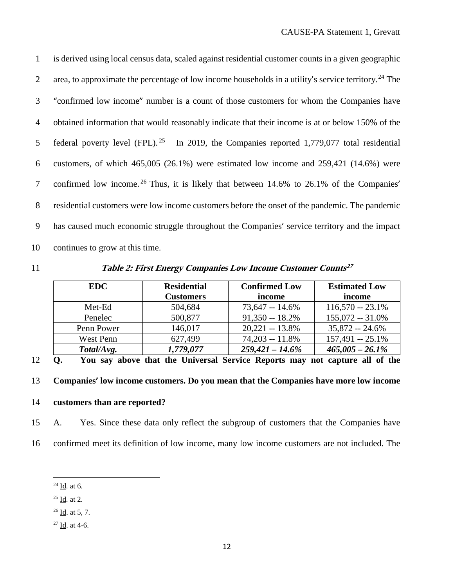is derived using local census data, scaled against residential customer counts in a given geographic 2 area, to approximate the percentage of low income households in a utility's service territory.<sup>[24](#page-15-0)</sup> The "confirmed low income" number is a count of those customers for whom the Companies have obtained information that would reasonably indicate that their income is at or below 150% of the 5 federal poverty level (FPL). <sup>[25](#page-15-1)</sup> In 2019, the Companies reported 1,779,077 total residential customers, of which 465,005 (26.1%) were estimated low income and 259,421 (14.6%) were 7 confirmed low income.<sup>[26](#page-15-2)</sup> Thus, it is likely that between 14.6% to 26.1% of the Companies' residential customers were low income customers before the onset of the pandemic. The pandemic has caused much economic struggle throughout the Companies' service territory and the impact continues to grow at this time.

**Table 2: First Energy Companies Low Income Customer Counts[27](#page-15-3)** 11

| <b>EDC</b> | <b>Residential</b> | <b>Confirmed Low</b> | <b>Estimated Low</b> |
|------------|--------------------|----------------------|----------------------|
|            | <b>Customers</b>   | income               | income               |
| Met-Ed     | 504,684            | $73,647 - 14.6\%$    | $116,570 - 23.1\%$   |
| Penelec    | 500,877            | $91,350 - 18.2\%$    | $155,072 - 31.0\%$   |
| Penn Power | 146,017            | $20,221 - 13.8\%$    | $35,872 - 24.6\%$    |
| West Penn  | 627,499            | $74,203 - 11.8\%$    | $157,491 - 25.1\%$   |
| Total/Avg. | 1,779,077          | $259,421 - 14.6\%$   | $465,005 - 26.1\%$   |

12 **Q. You say above that the Universal Service Reports may not capture all of the** 

13 **Companies' low income customers. Do you mean that the Companies have more low income**

### 14 **customers than are reported?**

- 15 A. Yes. Since these data only reflect the subgroup of customers that the Companies have
- <span id="page-15-3"></span><span id="page-15-2"></span><span id="page-15-1"></span><span id="page-15-0"></span>16 confirmed meet its definition of low income, many low income customers are not included. The
	- 24 Id*.* at 6.
	- <sup>25</sup> Id*.* at 2.
	- $26$  Id. at 5, 7.
	- $27 \underline{Id}$ . at 4-6.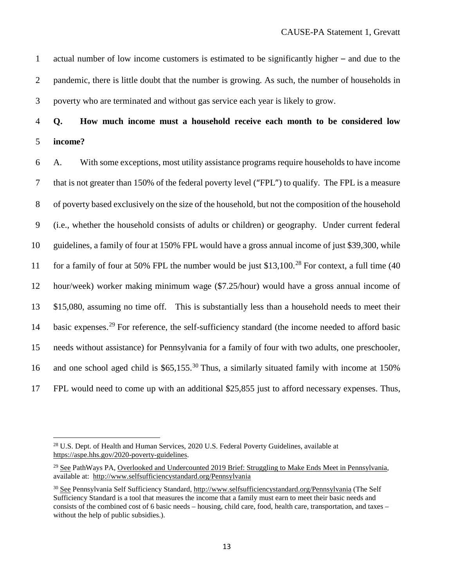1 actual number of low income customers is estimated to be significantly higher – and due to the 2 pandemic, there is little doubt that the number is growing. As such, the number of households in 3 poverty who are terminated and without gas service each year is likely to grow.

### 4 **Q. How much income must a household receive each month to be considered low**  5 **income?**

 A. With some exceptions, most utility assistance programs require households to have income that is not greater than 150% of the federal poverty level ("FPL") to qualify. The FPL is a measure of poverty based exclusively on the size of the household, but not the composition of the household (i.e., whether the household consists of adults or children) or geography. Under current federal guidelines, a family of four at 150% FPL would have a gross annual income of just \$39,300, while 11 for a family of four at 50% FPL the number would be just \$13,100.<sup>[28](#page-16-0)</sup> For context, a full time (40 hour/week) worker making minimum wage (\$7.25/hour) would have a gross annual income of \$15,080, assuming no time off. This is substantially less than a household needs to meet their 14 basic expenses.<sup>[29](#page-16-1)</sup> For reference, the self-sufficiency standard (the income needed to afford basic needs without assistance) for Pennsylvania for a family of four with two adults, one preschooler, 16 and one school aged child is  $$65,155.<sup>30</sup>$  $$65,155.<sup>30</sup>$  $$65,155.<sup>30</sup>$  Thus, a similarly situated family with income at 150% FPL would need to come up with an additional \$25,855 just to afford necessary expenses. Thus,

<span id="page-16-0"></span><sup>&</sup>lt;sup>28</sup> U.S. Dept. of Health and Human Services, 2020 U.S. Federal Poverty Guidelines, available at [https://aspe.hhs.gov/2020-poverty-guidelines.](https://aspe.hhs.gov/2020-poverty-guidelines)

<span id="page-16-1"></span><sup>&</sup>lt;sup>29</sup> See PathWays PA, Overlooked and Undercounted 2019 Brief: Struggling to Make Ends Meet in Pennsylvania, available at: <http://www.selfsufficiencystandard.org/Pennsylvania>

<span id="page-16-2"></span><sup>&</sup>lt;sup>30</sup> See Pennsylvania Self Sufficiency Standard, <http://www.selfsufficiencystandard.org/Pennsylvania> (The Self Sufficiency Standard is a tool that measures the income that a family must earn to meet their basic needs and consists of the combined cost of 6 basic needs – housing, child care, food, health care, transportation, and taxes – without the help of public subsidies.).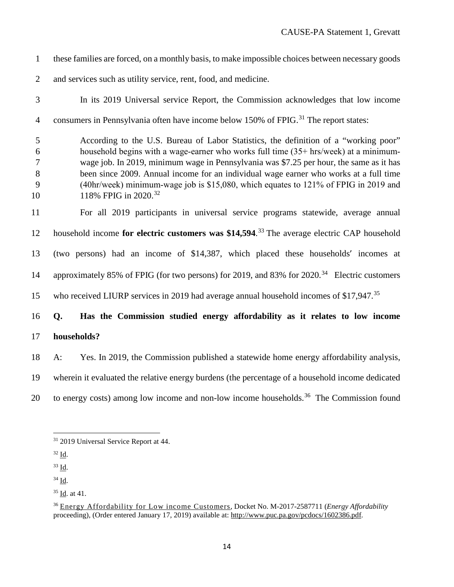- these families are forced, on a monthly basis, to make impossible choices between necessary goods
- and services such as utility service, rent, food, and medicine.
- 

 In its 2019 Universal service Report, the Commission acknowledges that low income 4 consumers in Pennsylvania often have income below  $150\%$  of FPIG.<sup>[31](#page-17-0)</sup> The report states:

 According to the U.S. Bureau of Labor Statistics, the definition of a "working poor" 6 household begins with a wage-earner who works full time  $(35 + \text{hrs/week})$  at a minimum- wage job. In 2019, minimum wage in Pennsylvania was \$7.25 per hour, the same as it has been since 2009. Annual income for an individual wage earner who works at a full time (40hr/week) minimum‐wage job is \$15,080, which equates to 121% of FPIG in 2019 and 10 118% FPIG in 2020.<sup>[32](#page-17-1)</sup>

 For all 2019 participants in universal service programs statewide, average annual 12 household income for electric customers was \$14,594.<sup>[33](#page-17-2)</sup> The average electric CAP household (two persons) had an income of \$14,387, which placed these households' incomes at 14 approximately 85% of FPIG (for two persons) for 2019, and 83% for 2020.<sup>[34](#page-17-3)</sup> Electric customers 15 who received LIURP services in 2019 had average annual household incomes of \$17,947.<sup>[35](#page-17-4)</sup>

**Q. Has the Commission studied energy affordability as it relates to low income** 

- **households?**
- A: Yes. In 2019, the Commission published a statewide home energy affordability analysis,
- wherein it evaluated the relative energy burdens (the percentage of a household income dedicated
- 20 to energy costs) among low income and non-low income households.<sup>[36](#page-17-5)</sup> The Commission found

<span id="page-17-2"></span>Id.

<span id="page-17-4"></span>Id. at 41.

<span id="page-17-0"></span><sup>2019</sup> Universal Service Report at 44.

<span id="page-17-1"></span>Id.

<span id="page-17-3"></span>Id.

<span id="page-17-5"></span> Energy Affordability for Low income Customers, Docket No. M-2017-2587711 (*Energy Affordability* proceeding), (Order entered January 17, 2019) available at: [http://www.puc.pa.gov/pcdocs/1602386.pdf.](http://www.puc.pa.gov/pcdocs/1602386.pdf)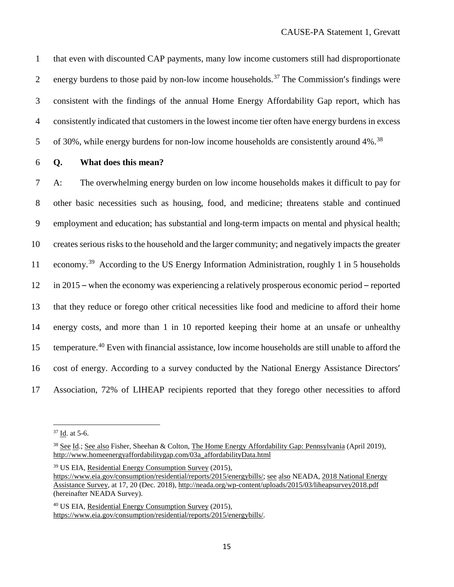that even with discounted CAP payments, many low income customers still had disproportionate 2 energy burdens to those paid by non-low income households.<sup>[37](#page-18-0)</sup> The Commission's findings were consistent with the findings of the annual Home Energy Affordability Gap report, which has consistently indicated that customers in the lowest income tier often have energy burdens in excess 5 of 30%, while energy burdens for non-low income households are consistently around 4%.<sup>[38](#page-18-1)</sup>

#### **Q. What does this mean?**

 A: The overwhelming energy burden on low income households makes it difficult to pay for other basic necessities such as housing, food, and medicine; threatens stable and continued employment and education; has substantial and long-term impacts on mental and physical health; creates serious risks to the household and the larger community; and negatively impacts the greater 11 economy.<sup>[39](#page-18-2)</sup> According to the US Energy Information Administration, roughly 1 in 5 households in 2015 – when the economy was experiencing a relatively prosperous economic period – reported that they reduce or forego other critical necessities like food and medicine to afford their home energy costs, and more than 1 in 10 reported keeping their home at an unsafe or unhealthy 15 temperature.<sup>[40](#page-18-3)</sup> Even with financial assistance, low income households are still unable to afford the cost of energy. According to a survey conducted by the National Energy Assistance Directors' Association, 72% of LIHEAP recipients reported that they forego other necessities to afford

<span id="page-18-2"></span>US EIA, Residential Energy Consumption Survey (2015),

<span id="page-18-0"></span>Id. at 5-6.

<span id="page-18-1"></span> See Id.; See also Fisher, Sheehan & Colton, The Home Energy Affordability Gap: Pennsylvania (April 2019), [http://www.homeenergyaffordabilitygap.com/03a\\_affordabilityData.html](http://www.homeenergyaffordabilitygap.com/03a_affordabilityData.html)

[https://www.eia.gov/consumption/residential/reports/2015/energybills/;](https://www.eia.gov/consumption/residential/reports/2015/energybills/) see also NEADA, 2018 National Energy Assistance Survey, at 17, 20 (Dec. 2018), <http://neada.org/wp-content/uploads/2015/03/liheapsurvey2018.pdf> (hereinafter NEADA Survey).

<span id="page-18-3"></span> US EIA, Residential Energy Consumption Survey (2015), [https://www.eia.gov/consumption/residential/reports/2015/energybills/.](https://www.eia.gov/consumption/residential/reports/2015/energybills/)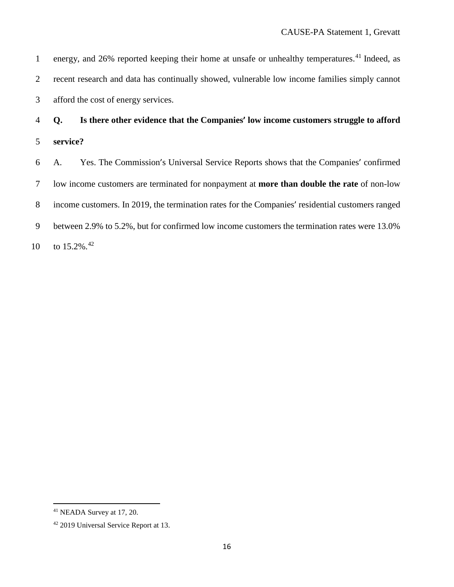1 energy, and 26% reported keeping their home at unsafe or unhealthy temperatures.<sup>[41](#page-19-0)</sup> Indeed, as recent research and data has continually showed, vulnerable low income families simply cannot afford the cost of energy services.

 **Q. Is there other evidence that the Companies' low income customers struggle to afford service?**

 A. Yes. The Commission's Universal Service Reports shows that the Companies' confirmed low income customers are terminated for nonpayment at **more than double the rate** of non-low income customers. In 2019, the termination rates for the Companies' residential customers ranged between 2.9% to 5.2%, but for confirmed low income customers the termination rates were 13.0% 10 to  $15.2\%$ <sup>[42](#page-19-1)</sup>

<span id="page-19-0"></span>NEADA Survey at 17, 20.

<span id="page-19-1"></span>2019 Universal Service Report at 13.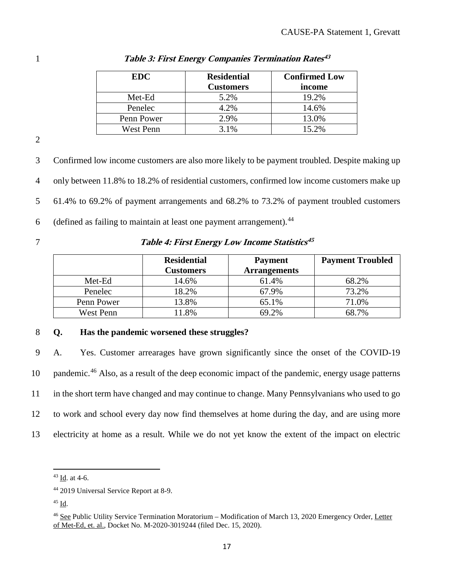| <b>EDC</b> | <b>Residential</b><br><b>Customers</b> | <b>Confirmed Low</b><br>income |
|------------|----------------------------------------|--------------------------------|
| Met-Ed     | 5.2%                                   | 19.2%                          |
| Penelec    | 4.2%                                   | 14.6%                          |
| Penn Power | 2.9%                                   | 13.0%                          |
| West Penn  | 3.1%                                   | 15.2%                          |

**Table 3: First Energy Companies Termination Rates[43](#page-20-0)** 1

2

 Confirmed low income customers are also more likely to be payment troubled. Despite making up only between 11.8% to 18.2% of residential customers, confirmed low income customers make up 61.4% to 69.2% of payment arrangements and 68.2% to 73.2% of payment troubled customers 6 (defined as failing to maintain at least one payment arrangement).  $44$ 

### **Table 4: First Energy Low Income Statistics[45](#page-20-2)** 7

|            | <b>Residential</b><br>Customers | <b>Payment</b><br><b>Arrangements</b> | <b>Payment Troubled</b> |
|------------|---------------------------------|---------------------------------------|-------------------------|
| Met-Ed     | 14.6%                           | 61.4%                                 | 68.2%                   |
| Penelec    | 18.2%                           | 67.9%                                 | 73.2%                   |
| Penn Power | 13.8%                           | 65.1%                                 | 71.0%                   |
| West Penn  | 1.8%                            | 69.2%                                 | 68.7%                   |

### 8 **Q. Has the pandemic worsened these struggles?**

 A. Yes. Customer arrearages have grown significantly since the onset of the COVID-19 10 pandemic.<sup>[46](#page-20-3)</sup> Also, as a result of the deep economic impact of the pandemic, energy usage patterns in the short term have changed and may continue to change. Many Pennsylvanians who used to go to work and school every day now find themselves at home during the day, and are using more electricity at home as a result. While we do not yet know the extent of the impact on electric

<span id="page-20-0"></span> <sup>43</sup> Id. at 4-6.

<span id="page-20-1"></span><sup>44</sup> 2019 Universal Service Report at 8-9.

<span id="page-20-2"></span><sup>45</sup> Id.

<span id="page-20-3"></span><sup>46</sup> See Public Utility Service Termination Moratorium – Modification of March 13, 2020 Emergency Order, Letter of Met-Ed, et. al., Docket No. M-2020-3019244 (filed Dec. 15, 2020).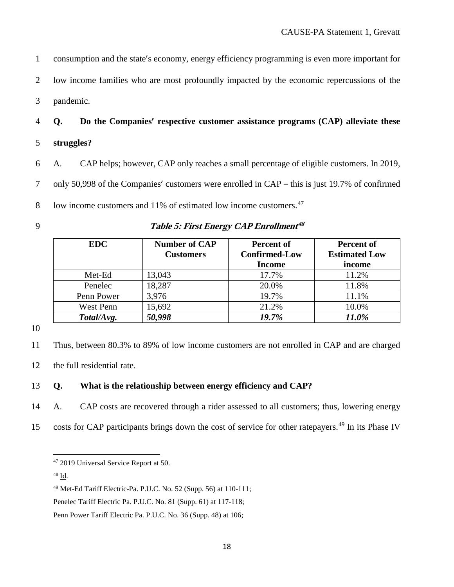1 consumption and the state's economy, energy efficiency programming is even more important for 2 low income families who are most profoundly impacted by the economic repercussions of the 3 pandemic.

4 **Q. Do the Companies' respective customer assistance programs (CAP) alleviate these**  5 **struggles?**

6 A. CAP helps; however, CAP only reaches a small percentage of eligible customers. In 2019, 7 only 50,998 of the Companies' customers were enrolled in CAP – this is just 19.7% of confirmed 8 low income customers and 11% of estimated low income customers.<sup>[47](#page-21-0)</sup>

### **Table 5: First Energy CAP Enrollment[48](#page-21-1)** 9

| <b>EDC</b> | <b>Number of CAP</b><br><b>Customers</b> | Percent of<br><b>Confirmed-Low</b><br><b>Income</b> | Percent of<br><b>Estimated Low</b><br>income |
|------------|------------------------------------------|-----------------------------------------------------|----------------------------------------------|
| Met-Ed     | 13,043                                   | 17.7%                                               | 11.2%                                        |
| Penelec    | 18,287                                   | 20.0%                                               | 11.8%                                        |
| Penn Power | 3,976                                    | 19.7%                                               | 11.1%                                        |
| West Penn  | 15,692                                   | 21.2%                                               | 10.0%                                        |
| Total/Avg. | 50,998                                   | 19.7%                                               | 11.0%                                        |

10

11 Thus, between 80.3% to 89% of low income customers are not enrolled in CAP and are charged

12 the full residential rate.

#### 13 **Q. What is the relationship between energy efficiency and CAP?**

14 A. CAP costs are recovered through a rider assessed to all customers; thus, lowering energy

<span id="page-21-0"></span>15 costs for CAP participants brings down the cost of service for other ratepayers.<sup>[49](#page-21-2)</sup> In its Phase IV

<span id="page-21-1"></span><sup>48</sup> Id.

 <sup>47</sup> <sup>2019</sup> Universal Service Report at 50.

<span id="page-21-2"></span><sup>49</sup> Met-Ed Tariff Electric-Pa. P.U.C. No. 52 (Supp. 56) at 110-111;

Penelec Tariff Electric Pa. P.U.C. No. 81 (Supp. 61) at 117-118;

Penn Power Tariff Electric Pa. P.U.C. No. 36 (Supp. 48) at 106;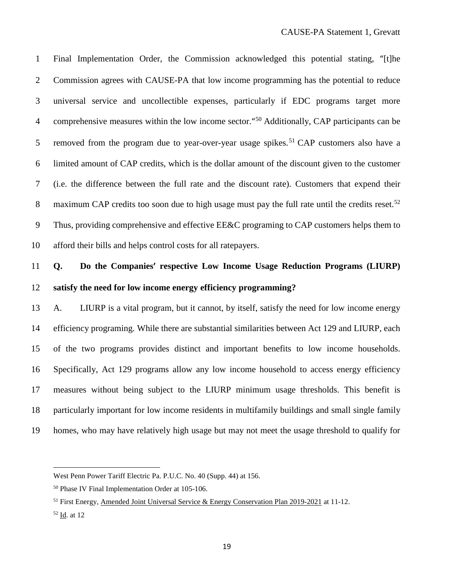Final Implementation Order, the Commission acknowledged this potential stating, "[t]he Commission agrees with CAUSE-PA that low income programming has the potential to reduce universal service and uncollectible expenses, particularly if EDC programs target more 4 comprehensive measures within the low income sector."<sup>[50](#page-22-0)</sup> Additionally, CAP participants can be 5 removed from the program due to year-over-year usage spikes.<sup>[51](#page-22-1)</sup> CAP customers also have a limited amount of CAP credits, which is the dollar amount of the discount given to the customer (i.e. the difference between the full rate and the discount rate). Customers that expend their 8 maximum CAP credits too soon due to high usage must pay the full rate until the credits reset.<sup>[52](#page-22-2)</sup> Thus, providing comprehensive and effective EE&C programing to CAP customers helps them to afford their bills and helps control costs for all ratepayers.

### **Q. Do the Companies' respective Low Income Usage Reduction Programs (LIURP) satisfy the need for low income energy efficiency programming?**

 A. LIURP is a vital program, but it cannot, by itself, satisfy the need for low income energy efficiency programing. While there are substantial similarities between Act 129 and LIURP, each of the two programs provides distinct and important benefits to low income households. Specifically, Act 129 programs allow any low income household to access energy efficiency measures without being subject to the LIURP minimum usage thresholds. This benefit is particularly important for low income residents in multifamily buildings and small single family homes, who may have relatively high usage but may not meet the usage threshold to qualify for

 $\overline{a}$ 

West Penn Power Tariff Electric Pa. P.U.C. No. 40 (Supp. 44) at 156.

<span id="page-22-0"></span>Phase IV Final Implementation Order at 105-106.

<span id="page-22-1"></span><sup>&</sup>lt;sup>51</sup> First Energy, <u>Amended Joint Universal Service & Energy Conservation Plan 2019-2021</u> at 11-12.

<span id="page-22-2"></span>Id. at 12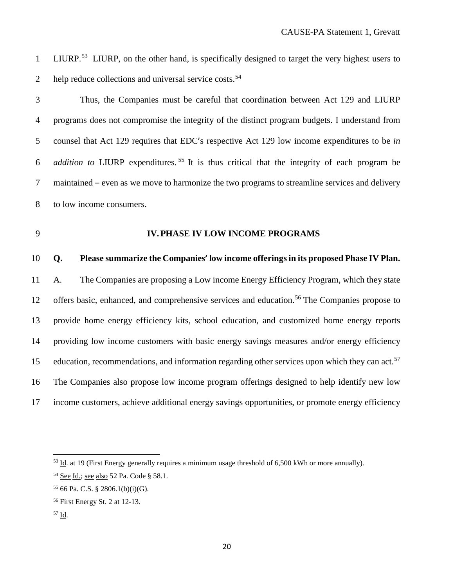- 1 LIURP.<sup>[53](#page-23-0)</sup> LIURP, on the other hand, is specifically designed to target the very highest users to 2help reduce collections and universal service costs.
- 

 Thus, the Companies must be careful that coordination between Act 129 and LIURP programs does not compromise the integrity of the distinct program budgets. I understand from counsel that Act 129 requires that EDC's respective Act 129 low income expenditures to be *in addition to* LIURP expenditures.<sup>[55](#page-23-2)</sup> It is thus critical that the integrity of each program be maintained – even as we move to harmonize the two programs to streamline services and delivery to low income consumers.

### **IV.PHASE IV LOW INCOME PROGRAMS**

#### **Q. Please summarize the Companies' low income offerings in its proposed Phase IV Plan.**

 A. The Companies are proposing a Low income Energy Efficiency Program, which they state 12 offers basic, enhanced, and comprehensive services and education.<sup>[56](#page-23-3)</sup> The Companies propose to provide home energy efficiency kits, school education, and customized home energy reports providing low income customers with basic energy savings measures and/or energy efficiency education, recommendations, and information regarding other services upon which they can act.<sup>[57](#page-23-4)</sup> The Companies also propose low income program offerings designed to help identify new low income customers, achieve additional energy savings opportunities, or promote energy efficiency

<span id="page-23-0"></span>Id. at <sup>19</sup> (First Energy generally requires <sup>a</sup> minimum usage threshold of 6,500 kWh or more annually).

<span id="page-23-1"></span><sup>&</sup>lt;sup>54</sup> See Id.; see also 52 Pa. Code § 58.1.

<span id="page-23-2"></span>66 Pa. C.S. § 2806.1(b)(i)(G).

<span id="page-23-3"></span>First Energy St. 2 at 12-13.

<span id="page-23-4"></span>Id.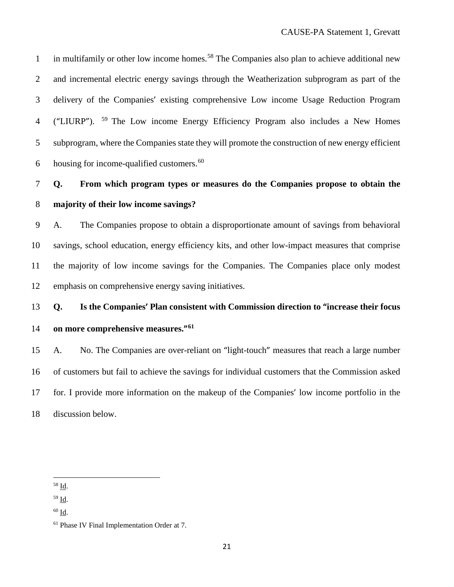in multifamily or other low income homes.<sup>[58](#page-24-0)</sup> The Companies also plan to achieve additional new and incremental electric energy savings through the Weatherization subprogram as part of the delivery of the Companies' existing comprehensive Low income Usage Reduction Program 4 ("LIURP"). <sup>[59](#page-24-1)</sup> The Low income Energy Efficiency Program also includes a New Homes subprogram, where the Companies state they will promote the construction of new energy efficient 6 housing for income-qualified customers.

 **Q. From which program types or measures do the Companies propose to obtain the majority of their low income savings?**

 A. The Companies propose to obtain a disproportionate amount of savings from behavioral savings, school education, energy efficiency kits, and other low-impact measures that comprise the majority of low income savings for the Companies. The Companies place only modest emphasis on comprehensive energy saving initiatives.

### **Q. Is the Companies' Plan consistent with Commission direction to "increase their focus on more comprehensive measures."[61](#page-24-3)**

 A. No. The Companies are over-reliant on "light-touch" measures that reach a large number of customers but fail to achieve the savings for individual customers that the Commission asked for. I provide more information on the makeup of the Companies' low income portfolio in the discussion below.

<span id="page-24-0"></span>Id.

<span id="page-24-1"></span>Id.

<span id="page-24-2"></span>Id.

<span id="page-24-3"></span>Phase IV Final Implementation Order at 7.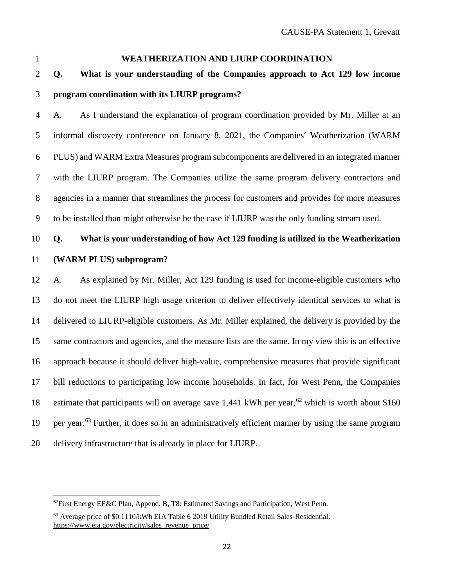#### **WEATHERIZATION AND LIURP COORDINATION**

 **Q. What is your understanding of the Companies approach to Act 129 low income program coordination with its LIURP programs?**

 A. As I understand the explanation of program coordination provided by Mr. Miller at an informal discovery conference on January 8, 2021, the Companies' Weatherization (WARM PLUS) and WARM Extra Measures program subcomponents are delivered in an integrated manner with the LIURP program. The Companies utilize the same program delivery contractors and agencies in a manner that streamlines the process for customers and provides for more measures to be installed than might otherwise be the case if LIURP was the only funding stream used.

### **Q. What is your understanding of how Act 129 funding is utilized in the Weatherization**

### **(WARM PLUS) subprogram?**

 A. As explained by Mr. Miller, Act 129 funding is used for income-eligible customers who do not meet the LIURP high usage criterion to deliver effectively identical services to what is delivered to LIURP-eligible customers. As Mr. Miller explained, the delivery is provided by the same contractors and agencies, and the measure lists are the same. In my view this is an effective approach because it should deliver high-value, comprehensive measures that provide significant bill reductions to participating low income households. In fact, for West Penn, the Companies 18 estimate that participants will on average save 1,441 kWh per year,<sup>[62](#page-25-0)</sup> which is worth about \$160 19 per year.<sup>[63](#page-25-1)</sup> Further, it does so in an administratively efficient manner by using the same program delivery infrastructure that is already in place for LIURP.

<span id="page-25-0"></span> <sup>62</sup>First Energy EE&C Plan, Append. B, T8: Estimated Savings and Participation, West Penn.

<span id="page-25-1"></span> Average price of \$0.1110/kWh EIA Table 6 2019 Utility Bundled Retail Sales-Residential. [https://www.eia.gov/electricity/sales\\_revenue\\_price/](https://www.eia.gov/electricity/sales_revenue_price/)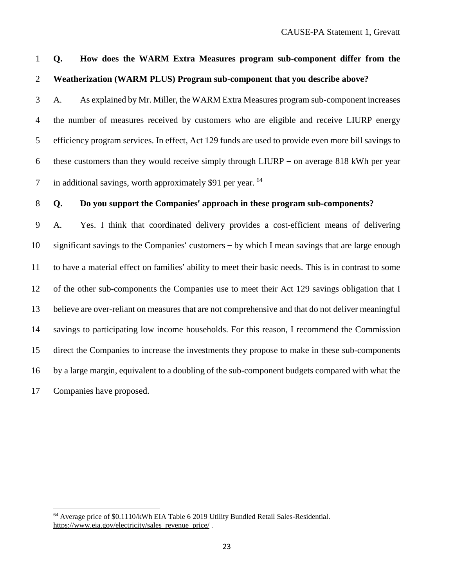A. As explained by Mr. Miller, the WARM Extra Measures program sub-component increases the number of measures received by customers who are eligible and receive LIURP energy efficiency program services. In effect, Act 129 funds are used to provide even more bill savings to these customers than they would receive simply through LIURP – on average 818 kWh per year 7 in additional savings, worth approximately \$91 per year. <sup>[64](#page-26-0)</sup>

### **Q. Do you support the Companies' approach in these program sub-components?**

 A. Yes. I think that coordinated delivery provides a cost-efficient means of delivering significant savings to the Companies' customers – by which I mean savings that are large enough to have a material effect on families' ability to meet their basic needs. This is in contrast to some of the other sub-components the Companies use to meet their Act 129 savings obligation that I believe are over-reliant on measures that are not comprehensive and that do not deliver meaningful savings to participating low income households. For this reason, I recommend the Commission direct the Companies to increase the investments they propose to make in these sub-components by a large margin, equivalent to a doubling of the sub-component budgets compared with what the Companies have proposed.

 **Q. How does the WARM Extra Measures program sub-component differ from the Weatherization (WARM PLUS) Program sub-component that you describe above?**

<span id="page-26-0"></span> Average price of \$0.1110/kWh EIA Table <sup>6</sup> <sup>2019</sup> Utility Bundled Retail Sales-Residential. [https://www.eia.gov/electricity/sales\\_revenue\\_price/](https://www.eia.gov/electricity/sales_revenue_price/).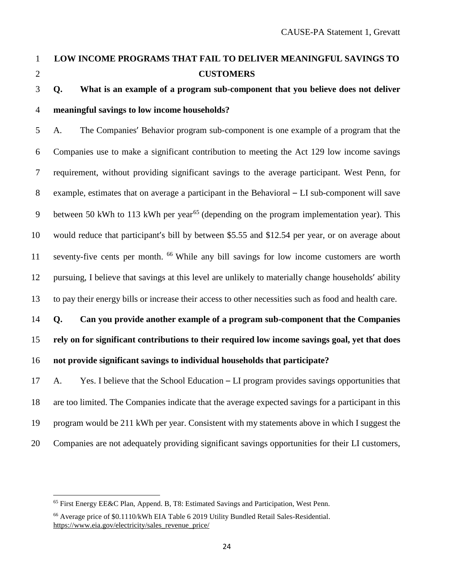### **LOW INCOME PROGRAMS THAT FAIL TO DELIVER MEANINGFUL SAVINGS TO CUSTOMERS**

### **Q. What is an example of a program sub-component that you believe does not deliver meaningful savings to low income households?**

 A. The Companies' Behavior program sub-component is one example of a program that the Companies use to make a significant contribution to meeting the Act 129 low income savings requirement, without providing significant savings to the average participant. West Penn, for example, estimates that on average a participant in the Behavioral – LI sub-component will save 9 between 50 kWh to 113 kWh per year<sup>[65](#page-27-0)</sup> (depending on the program implementation year). This would reduce that participant's bill by between \$5.55 and \$12.54 per year, or on average about 11 seventy-five cents per month. <sup>[66](#page-27-1)</sup> While any bill savings for low income customers are worth pursuing, I believe that savings at this level are unlikely to materially change households' ability to pay their energy bills or increase their access to other necessities such as food and health care.

## **Q. Can you provide another example of a program sub-component that the Companies rely on for significant contributions to their required low income savings goal, yet that does**

### **not provide significant savings to individual households that participate?**

 A. Yes. I believe that the School Education – LI program provides savings opportunities that are too limited. The Companies indicate that the average expected savings for a participant in this program would be 211 kWh per year. Consistent with my statements above in which I suggest the Companies are not adequately providing significant savings opportunities for their LI customers,

<span id="page-27-0"></span>First Energy EE&C Plan, Append. B, T8: Estimated Savings and Participation, West Penn.

<span id="page-27-1"></span> Average price of \$0.1110/kWh EIA Table 6 2019 Utility Bundled Retail Sales-Residential. [https://www.eia.gov/electricity/sales\\_revenue\\_price/](https://www.eia.gov/electricity/sales_revenue_price/)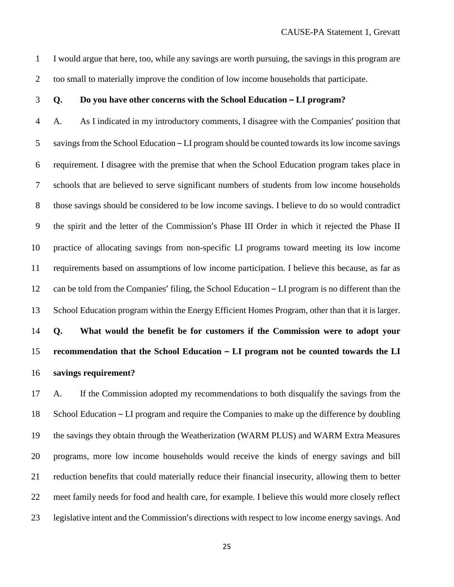I would argue that here, too, while any savings are worth pursuing, the savings in this program are too small to materially improve the condition of low income households that participate.

#### **Q. Do you have other concerns with the School Education – LI program?**

 A. As I indicated in my introductory comments, I disagree with the Companies' position that 5 savings from the School Education – LI program should be counted towards its low income savings requirement. I disagree with the premise that when the School Education program takes place in schools that are believed to serve significant numbers of students from low income households those savings should be considered to be low income savings. I believe to do so would contradict the spirit and the letter of the Commission's Phase III Order in which it rejected the Phase II practice of allocating savings from non-specific LI programs toward meeting its low income requirements based on assumptions of low income participation. I believe this because, as far as can be told from the Companies' filing, the School Education – LI program is no different than the School Education program within the Energy Efficient Homes Program, other than that it is larger. **Q. What would the benefit be for customers if the Commission were to adopt your recommendation that the School Education – LI program not be counted towards the LI**

**savings requirement?**

 A. If the Commission adopted my recommendations to both disqualify the savings from the School Education – LI program and require the Companies to make up the difference by doubling the savings they obtain through the Weatherization (WARM PLUS) and WARM Extra Measures programs, more low income households would receive the kinds of energy savings and bill reduction benefits that could materially reduce their financial insecurity, allowing them to better meet family needs for food and health care, for example. I believe this would more closely reflect legislative intent and the Commission's directions with respect to low income energy savings. And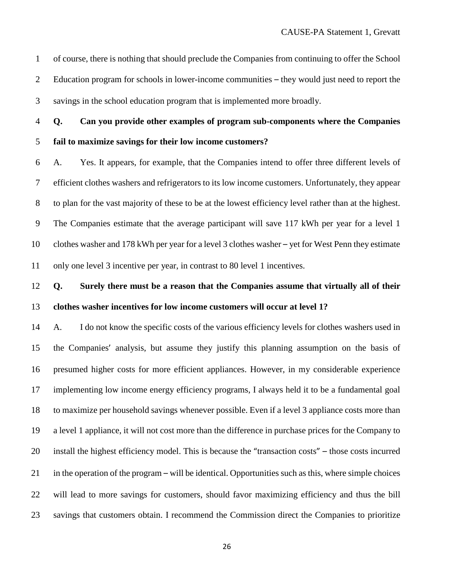of course, there is nothing that should preclude the Companies from continuing to offer the School Education program for schools in lower-income communities – they would just need to report the savings in the school education program that is implemented more broadly.

 **Q. Can you provide other examples of program sub-components where the Companies fail to maximize savings for their low income customers?**

 A. Yes. It appears, for example, that the Companies intend to offer three different levels of efficient clothes washers and refrigerators to its low income customers. Unfortunately, they appear to plan for the vast majority of these to be at the lowest efficiency level rather than at the highest. The Companies estimate that the average participant will save 117 kWh per year for a level 1 clothes washer and 178 kWh per year for a level 3 clothes washer – yet for West Penn they estimate only one level 3 incentive per year, in contrast to 80 level 1 incentives.

### **Q. Surely there must be a reason that the Companies assume that virtually all of their clothes washer incentives for low income customers will occur at level 1?**

 A. I do not know the specific costs of the various efficiency levels for clothes washers used in the Companies' analysis, but assume they justify this planning assumption on the basis of presumed higher costs for more efficient appliances. However, in my considerable experience implementing low income energy efficiency programs, I always held it to be a fundamental goal to maximize per household savings whenever possible. Even if a level 3 appliance costs more than a level 1 appliance, it will not cost more than the difference in purchase prices for the Company to install the highest efficiency model. This is because the "transaction costs" – those costs incurred in the operation of the program – will be identical. Opportunities such as this, where simple choices will lead to more savings for customers, should favor maximizing efficiency and thus the bill savings that customers obtain. I recommend the Commission direct the Companies to prioritize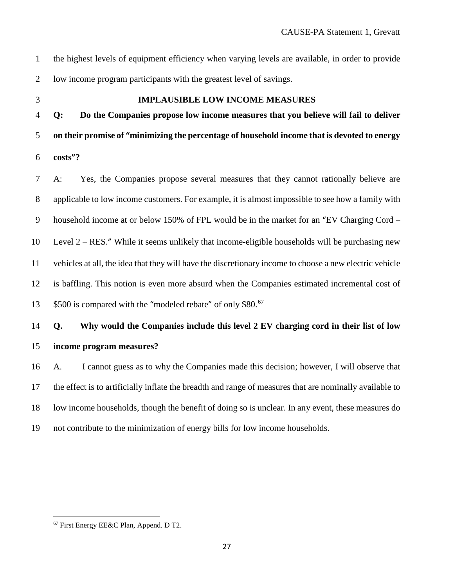| $\mathbf{1}$   | the highest levels of equipment efficiency when varying levels are available, in order to provide       |
|----------------|---------------------------------------------------------------------------------------------------------|
| $\overline{2}$ | low income program participants with the greatest level of savings.                                     |
| 3              | <b>IMPLAUSIBLE LOW INCOME MEASURES</b>                                                                  |
| $\overline{4}$ | Do the Companies propose low income measures that you believe will fail to deliver<br>Q:                |
| 5              | on their promise of "minimizing the percentage of household income that is devoted to energy            |
| 6              | costs"?                                                                                                 |
| $\tau$         | Yes, the Companies propose several measures that they cannot rationally believe are<br>$A$ :            |
| $8\,$          | applicable to low income customers. For example, it is almost impossible to see how a family with       |
| 9              | household income at or below 150% of FPL would be in the market for an "EV Charging Cord -              |
| 10             | Level $2 - RES$ ." While it seems unlikely that income-eligible households will be purchasing new       |
| 11             | vehicles at all, the idea that they will have the discretionary income to choose a new electric vehicle |
| 12             | is baffling. This notion is even more absurd when the Companies estimated incremental cost of           |
| 13             | \$500 is compared with the "modeled rebate" of only \$80. <sup>67</sup>                                 |
| 14             | Why would the Companies include this level 2 EV charging cord in their list of low<br>Q.                |
| 15             | income program measures?                                                                                |
| 16             | I cannot guess as to why the Companies made this decision; however, I will observe that<br>A.           |
| 17             | the effect is to artificially inflate the breadth and range of measures that are nominally available to |
| 18             | low income households, though the benefit of doing so is unclear. In any event, these measures do       |
| 19             | not contribute to the minimization of energy bills for low income households.                           |

<span id="page-30-0"></span>First Energy EE&C Plan, Append. <sup>D</sup> T2.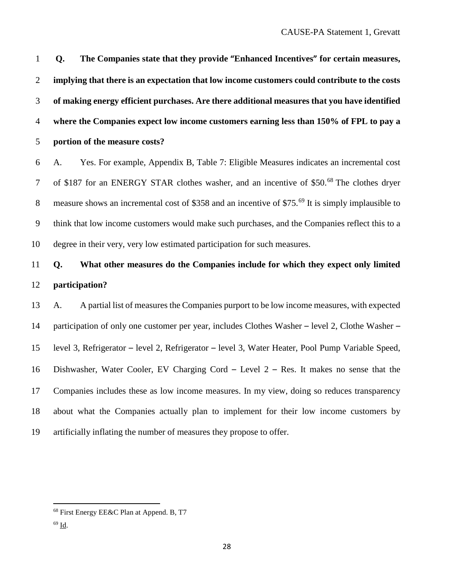**Q. The Companies state that they provide "Enhanced Incentives" for certain measures, implying that there is an expectation that low income customers could contribute to the costs of making energy efficient purchases. Are there additional measures that you have identified where the Companies expect low income customers earning less than 150% of FPL to pay a** 

**portion of the measure costs?**

 A. Yes. For example, Appendix B, Table 7: Eligible Measures indicates an incremental cost 7 of \$187 for an ENERGY STAR clothes washer, and an incentive of \$50.<sup>[68](#page-31-0)</sup> The clothes dryer 8 measure shows an incremental cost of \$358 and an incentive of \$75. $^{69}$  $^{69}$  $^{69}$  It is simply implausible to think that low income customers would make such purchases, and the Companies reflect this to a degree in their very, very low estimated participation for such measures.

### **Q. What other measures do the Companies include for which they expect only limited participation?**

 A. A partial list of measures the Companies purport to be low income measures, with expected participation of only one customer per year, includes Clothes Washer – level 2, Clothe Washer – level 3, Refrigerator – level 2, Refrigerator – level 3, Water Heater, Pool Pump Variable Speed, Dishwasher, Water Cooler, EV Charging Cord – Level 2 – Res. It makes no sense that the Companies includes these as low income measures. In my view, doing so reduces transparency about what the Companies actually plan to implement for their low income customers by artificially inflating the number of measures they propose to offer.

<span id="page-31-0"></span>First Energy EE&C Plan at Append. B, T7

<span id="page-31-1"></span>Id.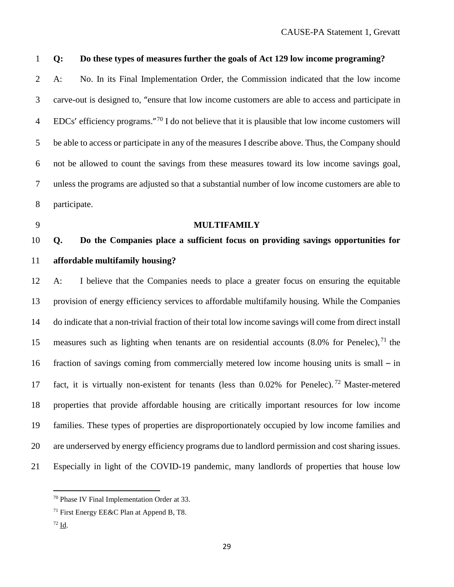### **Q: Do these types of measures further the goals of Act 129 low income programing?**

 A: No. In its Final Implementation Order, the Commission indicated that the low income carve-out is designed to, "ensure that low income customers are able to access and participate in EDCs' efficiency programs."[70](#page-32-0) I do not believe that it is plausible that low income customers will be able to access or participate in any of the measures I describe above. Thus, the Company should not be allowed to count the savings from these measures toward its low income savings goal, unless the programs are adjusted so that a substantial number of low income customers are able to participate.

#### **MULTIFAMILY**

### **Q. Do the Companies place a sufficient focus on providing savings opportunities for affordable multifamily housing?**

 A: I believe that the Companies needs to place a greater focus on ensuring the equitable provision of energy efficiency services to affordable multifamily housing. While the Companies do indicate that a non-trivial fraction of their total low income savings will come from direct install 15 measures such as lighting when tenants are on residential accounts  $(8.0\%$  for Penelec), <sup>[71](#page-32-1)</sup> the fraction of savings coming from commercially metered low income housing units is small – in 17 fact, it is virtually non-existent for tenants (less than  $0.02\%$  for Penelec).<sup>[72](#page-32-2)</sup> Master-metered properties that provide affordable housing are critically important resources for low income families. These types of properties are disproportionately occupied by low income families and are underserved by energy efficiency programs due to landlord permission and cost sharing issues. Especially in light of the COVID-19 pandemic, many landlords of properties that house low

<span id="page-32-2"></span>Id.

<span id="page-32-0"></span>Phase IV Final Implementation Order at 33.

<span id="page-32-1"></span>First Energy EE&C Plan at Append B, T8.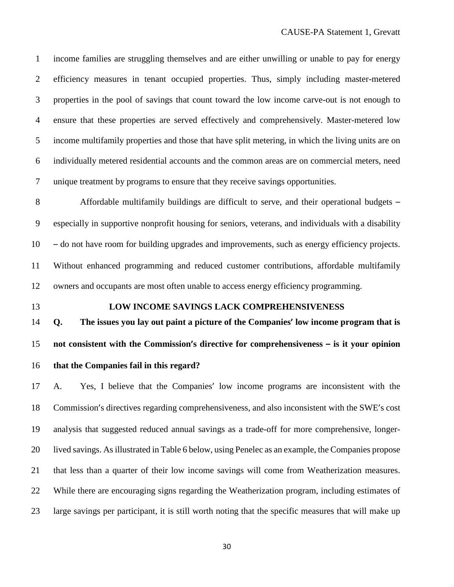income families are struggling themselves and are either unwilling or unable to pay for energy efficiency measures in tenant occupied properties. Thus, simply including master-metered properties in the pool of savings that count toward the low income carve-out is not enough to ensure that these properties are served effectively and comprehensively. Master-metered low income multifamily properties and those that have split metering, in which the living units are on individually metered residential accounts and the common areas are on commercial meters, need unique treatment by programs to ensure that they receive savings opportunities.

 Affordable multifamily buildings are difficult to serve, and their operational budgets – especially in supportive nonprofit housing for seniors, veterans, and individuals with a disability – do not have room for building upgrades and improvements, such as energy efficiency projects. Without enhanced programming and reduced customer contributions, affordable multifamily owners and occupants are most often unable to access energy efficiency programming.

### **LOW INCOME SAVINGS LACK COMPREHENSIVENESS**

 **Q. The issues you lay out paint a picture of the Companies' low income program that is not consistent with the Commission's directive for comprehensiveness – is it your opinion**

### **that the Companies fail in this regard?**

 A. Yes, I believe that the Companies' low income programs are inconsistent with the Commission's directives regarding comprehensiveness, and also inconsistent with the SWE's cost analysis that suggested reduced annual savings as a trade-off for more comprehensive, longer- lived savings. Asillustrated in [Table](#page-34-0) 6 below, using Penelec as an example, the Companies propose that less than a quarter of their low income savings will come from Weatherization measures. While there are encouraging signs regarding the Weatherization program, including estimates of large savings per participant, it is still worth noting that the specific measures that will make up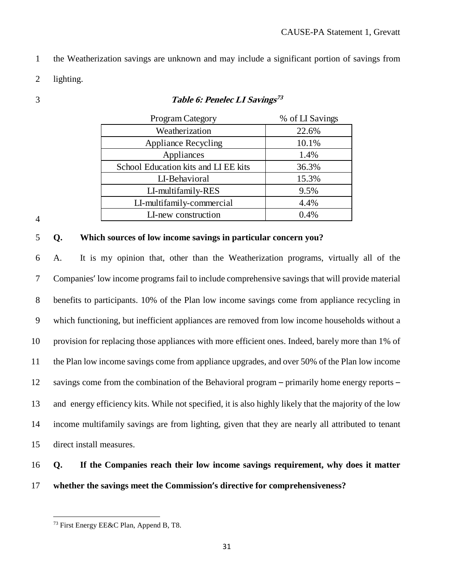- the Weatherization savings are unknown and may include a significant portion of savings from
- lighting.
- <span id="page-34-0"></span>

#### **Table 6: Penelec LI Savings[73](#page-34-1)**

| Program Category                     | % of LI Savings |
|--------------------------------------|-----------------|
| Weatherization                       | 22.6%           |
| <b>Appliance Recycling</b>           | 10.1%           |
| Appliances                           | 1.4%            |
| School Education kits and LI EE kits | 36.3%           |
| LI-Behavioral                        | 15.3%           |
| LI-multifamily-RES                   | 9.5%            |
| LI-multifamily-commercial            | 4.4%            |
| LI-new construction                  | 0.4%            |

#### 

#### **Q. Which sources of low income savings in particular concern you?**

 A. It is my opinion that, other than the Weatherization programs, virtually all of the Companies' low income programs fail to include comprehensive savings that will provide material benefits to participants. 10% of the Plan low income savings come from appliance recycling in which functioning, but inefficient appliances are removed from low income households without a provision for replacing those appliances with more efficient ones. Indeed, barely more than 1% of the Plan low income savings come from appliance upgrades, and over 50% of the Plan low income savings come from the combination of the Behavioral program – primarily home energy reports – and energy efficiency kits. While not specified, it is also highly likely that the majority of the low income multifamily savings are from lighting, given that they are nearly all attributed to tenant direct install measures.

### **Q. If the Companies reach their low income savings requirement, why does it matter whether the savings meet the Commission's directive for comprehensiveness?**

<span id="page-34-1"></span>First Energy EE&C Plan, Append B, T8.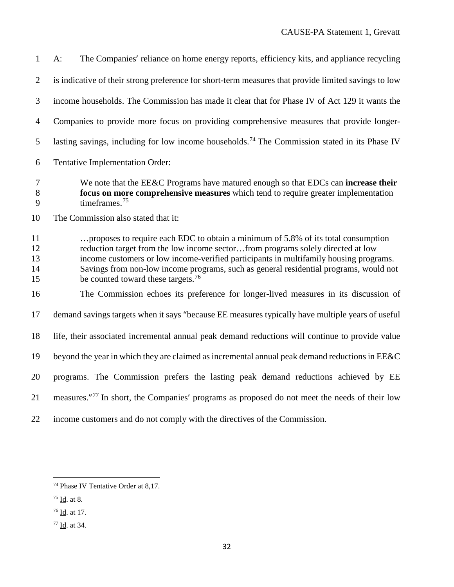| $\mathbf{1}$               | The Companies' reliance on home energy reports, efficiency kits, and appliance recycling<br>$A$ :                                                                                                                                                                                                                                                                                                        |
|----------------------------|----------------------------------------------------------------------------------------------------------------------------------------------------------------------------------------------------------------------------------------------------------------------------------------------------------------------------------------------------------------------------------------------------------|
| $\overline{2}$             | is indicative of their strong preference for short-term measures that provide limited savings to low                                                                                                                                                                                                                                                                                                     |
| 3                          | income households. The Commission has made it clear that for Phase IV of Act 129 it wants the                                                                                                                                                                                                                                                                                                            |
| $\overline{4}$             | Companies to provide more focus on providing comprehensive measures that provide longer-                                                                                                                                                                                                                                                                                                                 |
| 5                          | lasting savings, including for low income households. <sup>74</sup> The Commission stated in its Phase IV                                                                                                                                                                                                                                                                                                |
| 6                          | Tentative Implementation Order:                                                                                                                                                                                                                                                                                                                                                                          |
| 7<br>8<br>9                | We note that the EE&C Programs have matured enough so that EDCs can increase their<br>focus on more comprehensive measures which tend to require greater implementation<br>timeframes. $75$                                                                                                                                                                                                              |
| 10                         | The Commission also stated that it:                                                                                                                                                                                                                                                                                                                                                                      |
| 11<br>12<br>13<br>14<br>15 | proposes to require each EDC to obtain a minimum of 5.8% of its total consumption<br>reduction target from the low income sectorfrom programs solely directed at low<br>income customers or low income-verified participants in multifamily housing programs.<br>Savings from non-low income programs, such as general residential programs, would not<br>be counted toward these targets. <sup>76</sup> |
| 16                         | The Commission echoes its preference for longer-lived measures in its discussion of                                                                                                                                                                                                                                                                                                                      |
| 17                         | demand savings targets when it says "because EE measures typically have multiple years of useful                                                                                                                                                                                                                                                                                                         |
| 18                         | life, their associated incremental annual peak demand reductions will continue to provide value                                                                                                                                                                                                                                                                                                          |
| 19                         | beyond the year in which they are claimed as incremental annual peak demand reductions in EE&C                                                                                                                                                                                                                                                                                                           |
| 20                         | programs. The Commission prefers the lasting peak demand reductions achieved by EE                                                                                                                                                                                                                                                                                                                       |
| 21                         | measures." <sup>77</sup> In short, the Companies' programs as proposed do not meet the needs of their low                                                                                                                                                                                                                                                                                                |
| 22                         | income customers and do not comply with the directives of the Commission.                                                                                                                                                                                                                                                                                                                                |

<span id="page-35-0"></span>Phase IV Tentative Order at 8,17.

<span id="page-35-1"></span> $75 \underline{\text{Id}}$ . at 8.

<span id="page-35-2"></span> $^{76}$  <u>Id</u>. at 17.

<span id="page-35-3"></span> $77 \underline{Id}$ . at 34.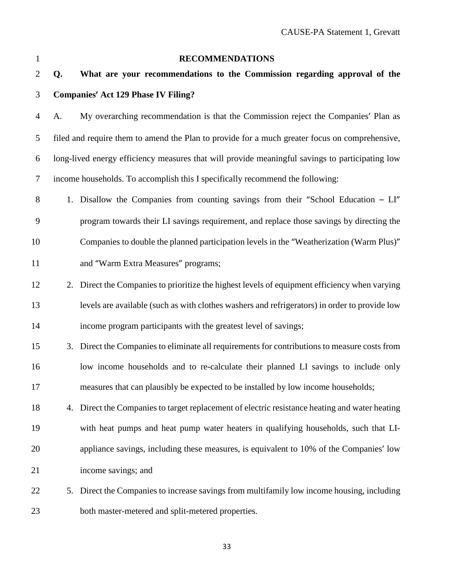| 1              |    | <b>RECOMMENDATIONS</b>                                                                          |
|----------------|----|-------------------------------------------------------------------------------------------------|
| $\overline{2}$ | Q. | What are your recommendations to the Commission regarding approval of the                       |
| 3              |    | <b>Companies' Act 129 Phase IV Filing?</b>                                                      |
| $\overline{4}$ | A. | My overarching recommendation is that the Commission reject the Companies' Plan as              |
| 5              |    | filed and require them to amend the Plan to provide for a much greater focus on comprehensive,  |
| 6              |    | long-lived energy efficiency measures that will provide meaningful savings to participating low |
| $\overline{7}$ |    | income households. To accomplish this I specifically recommend the following:                   |
| $8\phantom{1}$ |    | 1. Disallow the Companies from counting savings from their "School Education – LI"              |
| $\mathbf{9}$   |    | program towards their LI savings requirement, and replace those savings by directing the        |
| 10             |    | Companies to double the planned participation levels in the "Weatherization (Warm Plus)"        |
| 11             |    | and "Warm Extra Measures" programs;                                                             |
| 12             |    | 2. Direct the Companies to prioritize the highest levels of equipment efficiency when varying   |
| 13             |    | levels are available (such as with clothes washers and refrigerators) in order to provide low   |
| 14             |    | income program participants with the greatest level of savings;                                 |
| 15             |    | 3. Direct the Companies to eliminate all requirements for contributions to measure costs from   |
| 16             |    | low income households and to re-calculate their planned LI savings to include only              |
| 17             |    | measures that can plausibly be expected to be installed by low income households;               |
| 18             |    | 4. Direct the Companies to target replacement of electric resistance heating and water heating  |
| 19             |    | with heat pumps and heat pump water heaters in qualifying households, such that LI-             |
| 20             |    | appliance savings, including these measures, is equivalent to 10% of the Companies' low         |
| 21             |    | income savings; and                                                                             |
| 22             |    | 5. Direct the Companies to increase savings from multifamily low income housing, including      |
| 23             |    | both master-metered and split-metered properties.                                               |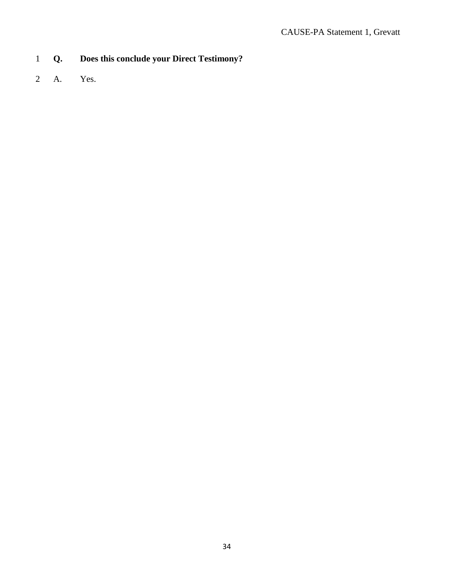### 1 **Q. Does this conclude your Direct Testimony?**

2 A. Yes.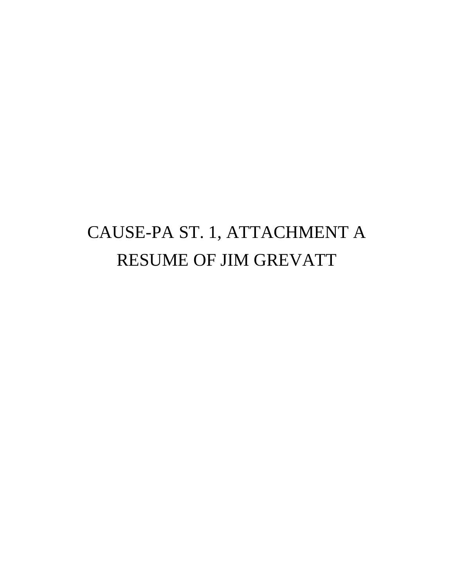# CAUSE-PA ST. 1, ATTACHMENT A RESUME OF JIM GREVATT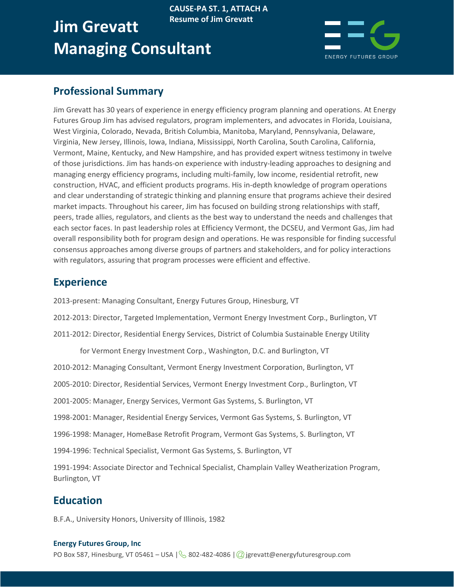### **Jim Grevatt Managing Consultant Resume of Jim Grevatt**



### **Professional Summary**

Jim Grevatt has 30 years of experience in energy efficiency program planning and operations. At Energy Futures Group Jim has advised regulators, program implementers, and advocates in Florida, Louisiana, West Virginia, Colorado, Nevada, British Columbia, Manitoba, Maryland, Pennsylvania, Delaware, Virginia, New Jersey, Illinois, Iowa, Indiana, Mississippi, North Carolina, South Carolina, California, Vermont, Maine, Kentucky, and New Hampshire, and has provided expert witness testimony in twelve of those jurisdictions. Jim has hands-on experience with industry-leading approaches to designing and managing energy efficiency programs, including multi-family, low income, residential retrofit, new construction, HVAC, and efficient products programs. His in-depth knowledge of program operations and clear understanding of strategic thinking and planning ensure that programs achieve their desired market impacts. Throughout his career, Jim has focused on building strong relationships with staff, peers, trade allies, regulators, and clients as the best way to understand the needs and challenges that each sector faces. In past leadership roles at Efficiency Vermont, the DCSEU, and Vermont Gas, Jim had overall responsibility both for program design and operations. He was responsible for finding successful consensus approaches among diverse groups of partners and stakeholders, and for policy interactions with regulators, assuring that program processes were efficient and effective.

**CAUSE-PA ST. 1, ATTACH A**

### **Experience**

2013-present: Managing Consultant, Energy Futures Group, Hinesburg, VT

2012-2013: Director, Targeted Implementation, Vermont Energy Investment Corp., Burlington, VT

2011-2012: Director, Residential Energy Services, District of Columbia Sustainable Energy Utility

for Vermont Energy Investment Corp., Washington, D.C. and Burlington, VT

2010-2012: Managing Consultant, Vermont Energy Investment Corporation, Burlington, VT

2005-2010: Director, Residential Services, Vermont Energy Investment Corp., Burlington, VT

2001-2005: Manager, Energy Services, Vermont Gas Systems, S. Burlington, VT

1998-2001: Manager, Residential Energy Services, Vermont Gas Systems, S. Burlington, VT

1996-1998: Manager, HomeBase Retrofit Program, Vermont Gas Systems, S. Burlington, VT

1994-1996: Technical Specialist, Vermont Gas Systems, S. Burlington, VT

1991-1994: Associate Director and Technical Specialist, Champlain Valley Weatherization Program, Burlington, VT

### **Education**

B.F.A., University Honors, University of Illinois, 1982

#### **Energy Futures Group, Inc**

PO Box 587, Hinesburg, VT 05461 – USA  $\sqrt{8}$  802-482-4086  $\sqrt{Q}$  jgrevatt@energyfuturesgroup.com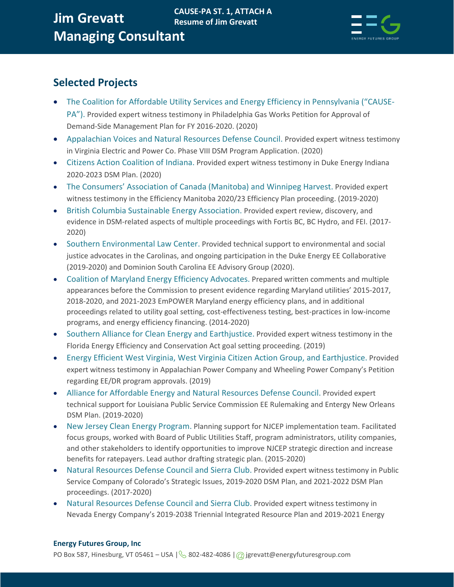

### **Selected Projects**

- The Coalition for Affordable Utility Services and Energy Efficiency in Pennsylvania ("CAUSE-PA"). Provided expert witness testimony in Philadelphia Gas Works Petition for Approval of Demand-Side Management Plan for FY 2016-2020. (2020)
- Appalachian Voices and Natural Resources Defense Council. Provided expert witness testimony in Virginia Electric and Power Co. Phase VIII DSM Program Application. (2020)
- Citizens Action Coalition of Indiana. Provided expert witness testimony in Duke Energy Indiana 2020-2023 DSM Plan. (2020)
- The Consumers' Association of Canada (Manitoba) and Winnipeg Harvest. Provided expert witness testimony in the Efficiency Manitoba 2020/23 Efficiency Plan proceeding. (2019-2020)
- British Columbia Sustainable Energy Association. Provided expert review, discovery, and evidence in DSM-related aspects of multiple proceedings with Fortis BC, BC Hydro, and FEI. (2017- 2020)
- Southern Environmental Law Center. Provided technical support to environmental and social justice advocates in the Carolinas, and ongoing participation in the Duke Energy EE Collaborative (2019-2020) and Dominion South Carolina EE Advisory Group (2020).
- Coalition of Maryland Energy Efficiency Advocates. Prepared written comments and multiple appearances before the Commission to present evidence regarding Maryland utilities' 2015-2017, 2018-2020, and 2021-2023 EmPOWER Maryland energy efficiency plans, and in additional proceedings related to utility goal setting, cost-effectiveness testing, best-practices in low-income programs, and energy efficiency financing. (2014-2020)
- Southern Alliance for Clean Energy and Earthjustice. Provided expert witness testimony in the Florida Energy Efficiency and Conservation Act goal setting proceeding. (2019)
- Energy Efficient West Virginia, West Virginia Citizen Action Group, and Earthjustice. Provided expert witness testimony in Appalachian Power Company and Wheeling Power Company's Petition regarding EE/DR program approvals. (2019)
- Alliance for Affordable Energy and Natural Resources Defense Council. Provided expert technical support for Louisiana Public Service Commission EE Rulemaking and Entergy New Orleans DSM Plan. (2019-2020)
- New Jersey Clean Energy Program. Planning support for NJCEP implementation team. Facilitated focus groups, worked with Board of Public Utilities Staff, program administrators, utility companies, and other stakeholders to identify opportunities to improve NJCEP strategic direction and increase benefits for ratepayers. Lead author drafting strategic plan. (2015-2020)
- Natural Resources Defense Council and Sierra Club. Provided expert witness testimony in Public Service Company of Colorado's Strategic Issues, 2019-2020 DSM Plan, and 2021-2022 DSM Plan proceedings. (2017-2020)
- Natural Resources Defense Council and Sierra Club. Provided expert witness testimony in Nevada Energy Company's 2019-2038 Triennial Integrated Resource Plan and 2019-2021 Energy

#### **Energy Futures Group, Inc** PO Box 587, Hinesburg, VT 05461 – USA  $\sqrt{8}$  802-482-4086  $\sqrt{2}$  jgrevatt@energyfuturesgroup.com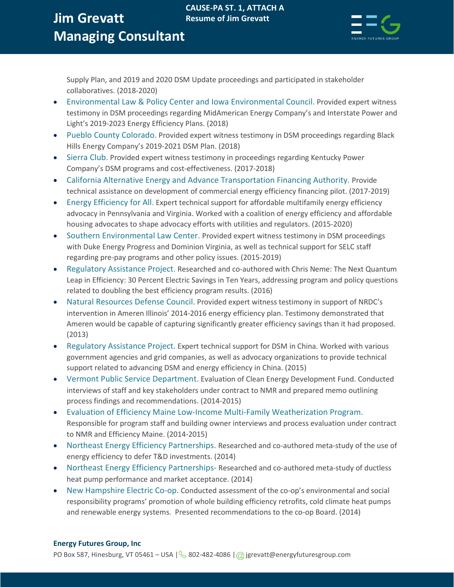### **Jim Grevatt Managing Consultant CAUSE-PA ST. 1, ATTACH A Resume of Jim Grevatt**



Supply Plan, and 2019 and 2020 DSM Update proceedings and participated in stakeholder collaboratives. (2018-2020)

- Environmental Law & Policy Center and Iowa Environmental Council. Provided expert witness testimony in DSM proceedings regarding MidAmerican Energy Company's and Interstate Power and Light's 2019-2023 Energy Efficiency Plans. (2018)
- Pueblo County Colorado. Provided expert witness testimony in DSM proceedings regarding Black Hills Energy Company's 2019-2021 DSM Plan. (2018)
- Sierra Club. Provided expert witness testimony in proceedings regarding Kentucky Power Company's DSM programs and cost-effectiveness. (2017-2018)
- California Alternative Energy and Advance Transportation Financing Authority. Provide technical assistance on development of commercial energy efficiency financing pilot. (2017-2019)
- Energy Efficiency for All. Expert technical support for affordable multifamily energy efficiency advocacy in Pennsylvania and Virginia. Worked with a coalition of energy efficiency and affordable housing advocates to shape advocacy efforts with utilities and regulators. (2015-2020)
- Southern Environmental Law Center. Provided expert witness testimony in DSM proceedings with Duke Energy Progress and Dominion Virginia, as well as technical support for SELC staff regarding pre-pay programs and other policy issues. (2015-2019)
- Regulatory Assistance Project. Researched and co-authored with Chris Neme: The Next Quantum Leap in Efficiency: 30 Percent Electric Savings in Ten Years, addressing program and policy questions related to doubling the best efficiency program results. (2016)
- Natural Resources Defense Council. Provided expert witness testimony in support of NRDC's intervention in Ameren Illinois' 2014-2016 energy efficiency plan. Testimony demonstrated that Ameren would be capable of capturing significantly greater efficiency savings than it had proposed. (2013)
- Regulatory Assistance Project. Expert technical support for DSM in China. Worked with various government agencies and grid companies, as well as advocacy organizations to provide technical support related to advancing DSM and energy efficiency in China. (2015)
- Vermont Public Service Department. Evaluation of Clean Energy Development Fund. Conducted interviews of staff and key stakeholders under contract to NMR and prepared memo outlining process findings and recommendations. (2014-2015)
- Evaluation of Efficiency Maine Low-Income Multi-Family Weatherization Program. Responsible for program staff and building owner interviews and process evaluation under contract to NMR and Efficiency Maine. (2014-2015)
- Northeast Energy Efficiency Partnerships. Researched and co-authored meta-study of the use of energy efficiency to defer T&D investments. (2014)
- Northeast Energy Efficiency Partnerships- Researched and co-authored meta-study of ductless heat pump performance and market acceptance. (2014)
- New Hampshire Electric Co-op. Conducted assessment of the co-op's environmental and social responsibility programs' promotion of whole building efficiency retrofits, cold climate heat pumps and renewable energy systems. Presented recommendations to the co-op Board. (2014)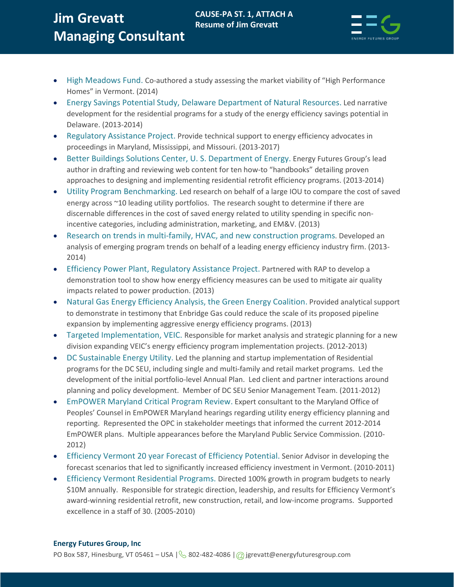## **Jim Grevatt Managing Consultant**



- High Meadows Fund. Co-authored a study assessing the market viability of "High Performance Homes" in Vermont. (2014)
- Energy Savings Potential Study, Delaware Department of Natural Resources. Led narrative development for the residential programs for a study of the energy efficiency savings potential in Delaware. (2013-2014)
- Regulatory Assistance Project. Provide technical support to energy efficiency advocates in proceedings in Maryland, Mississippi, and Missouri. (2013-2017)
- Better Buildings Solutions Center, U.S. Department of Energy. Energy Futures Group's lead author in drafting and reviewing web content for ten how-to "handbooks" detailing proven approaches to designing and implementing residential retrofit efficiency programs. (2013-2014)
- Utility Program Benchmarking. Led research on behalf of a large IOU to compare the cost of saved energy across ~10 leading utility portfolios. The research sought to determine if there are discernable differences in the cost of saved energy related to utility spending in specific nonincentive categories, including administration, marketing, and EM&V. (2013)
- Research on trends in multi-family, HVAC, and new construction programs. Developed an analysis of emerging program trends on behalf of a leading energy efficiency industry firm. (2013- 2014)
- Efficiency Power Plant, Regulatory Assistance Project. Partnered with RAP to develop a demonstration tool to show how energy efficiency measures can be used to mitigate air quality impacts related to power production. (2013)
- Natural Gas Energy Efficiency Analysis, the Green Energy Coalition. Provided analytical support to demonstrate in testimony that Enbridge Gas could reduce the scale of its proposed pipeline expansion by implementing aggressive energy efficiency programs. (2013)
- Targeted Implementation, VEIC. Responsible for market analysis and strategic planning for a new division expanding VEIC's energy efficiency program implementation projects. (2012-2013)
- DC Sustainable Energy Utility. Led the planning and startup implementation of Residential programs for the DC SEU, including single and multi-family and retail market programs. Led the development of the initial portfolio-level Annual Plan. Led client and partner interactions around planning and policy development. Member of DC SEU Senior Management Team. (2011-2012)
- EmPOWER Maryland Critical Program Review. Expert consultant to the Maryland Office of Peoples' Counsel in EmPOWER Maryland hearings regarding utility energy efficiency planning and reporting. Represented the OPC in stakeholder meetings that informed the current 2012-2014 EmPOWER plans. Multiple appearances before the Maryland Public Service Commission. (2010- 2012)
- Efficiency Vermont 20 year Forecast of Efficiency Potential. Senior Advisor in developing the forecast scenarios that led to significantly increased efficiency investment in Vermont. (2010-2011)
- Efficiency Vermont Residential Programs. Directed 100% growth in program budgets to nearly \$10M annually. Responsible for strategic direction, leadership, and results for Efficiency Vermont's award-winning residential retrofit, new construction, retail, and low-income programs. Supported excellence in a staff of 30. (2005-2010)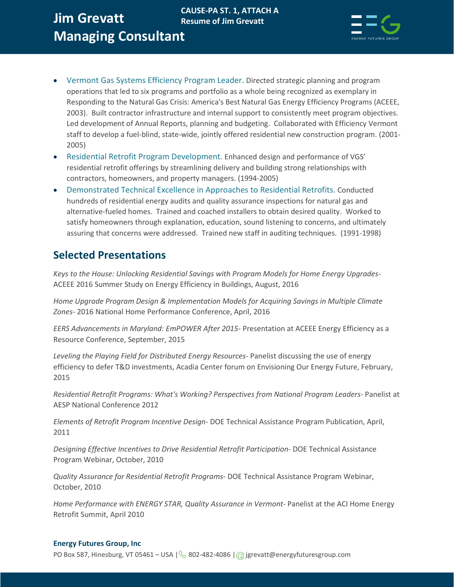#### **Jim Grevatt Managing Consultant CAUSE-PA ST. 1, ATTACH A Resume of Jim Grevatt**



- Vermont Gas Systems Efficiency Program Leader. Directed strategic planning and program operations that led to six programs and portfolio as a whole being recognized as exemplary in Responding to the Natural Gas Crisis: America's Best Natural Gas Energy Efficiency Programs (ACEEE, 2003). Built contractor infrastructure and internal support to consistently meet program objectives. Led development of Annual Reports, planning and budgeting. Collaborated with Efficiency Vermont staff to develop a fuel-blind, state-wide, jointly offered residential new construction program. (2001- 2005)
- Residential Retrofit Program Development. Enhanced design and performance of VGS' residential retrofit offerings by streamlining delivery and building strong relationships with contractors, homeowners, and property managers. (1994-2005)
- Demonstrated Technical Excellence in Approaches to Residential Retrofits. Conducted hundreds of residential energy audits and quality assurance inspections for natural gas and alternative-fueled homes. Trained and coached installers to obtain desired quality. Worked to satisfy homeowners through explanation, education, sound listening to concerns, and ultimately assuring that concerns were addressed. Trained new staff in auditing techniques. (1991-1998)

### **Selected Presentations**

*Keys to the House: Unlocking Residential Savings with Program Models for Home Energy Upgrades-*ACEEE 2016 Summer Study on Energy Efficiency in Buildings, August, 2016

*Home Upgrade Program Design & Implementation Models for Acquiring Savings in Multiple Climate Zones-* 2016 National Home Performance Conference, April, 2016

*EERS Advancements in Maryland: EmPOWER After 2015-* Presentation at ACEEE Energy Efficiency as a Resource Conference, September, 2015

*Leveling the Playing Field for Distributed Energy Resources-* Panelist discussing the use of energy efficiency to defer T&D investments, Acadia Center forum on Envisioning Our Energy Future, February, 2015

*Residential Retrofit Programs: What's Working? Perspectives from National Program Leaders-* Panelist at AESP National Conference 2012

*Elements of Retrofit Program Incentive Design-* DOE Technical Assistance Program Publication, April, 2011

*Designing Effective Incentives to Drive Residential Retrofit Participation-* DOE Technical Assistance Program Webinar, October, 2010

*Quality Assurance for Residential Retrofit Programs-* DOE Technical Assistance Program Webinar, October, 2010

*Home Performance with ENERGY STAR, Quality Assurance in Vermont-Panelist at the ACI Home Energy* Retrofit Summit, April 2010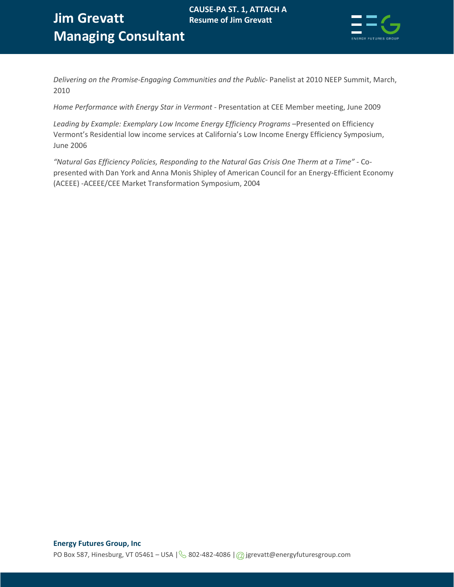

*Delivering on the Promise-Engaging Communities and the Public-* Panelist at 2010 NEEP Summit, March, 2010

**Resume of Jim Grevatt**

*Home Performance with Energy Star in Vermont* - Presentation at CEE Member meeting, June 2009

Leading by Example: Exemplary Low Income Energy Efficiency Programs -Presented on Efficiency Vermont's Residential low income services at California's Low Income Energy Efficiency Symposium, June 2006

*"Natural Gas Efficiency Policies, Responding to the Natural Gas Crisis One Therm at a Time"* - Copresented with Dan York and Anna Monis Shipley of American Council for an Energy-Efficient Economy (ACEEE) -ACEEE/CEE Market Transformation Symposium, 2004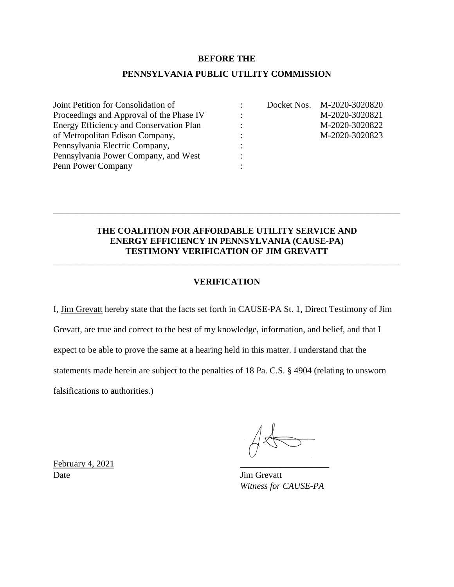#### **BEFORE THE**

### **PENNSYLVANIA PUBLIC UTILITY COMMISSION**

| Joint Petition for Consolidation of      |   | Docket Nos. M-2020-3020820 |
|------------------------------------------|---|----------------------------|
| Proceedings and Approval of the Phase IV | ٠ | M-2020-3020821             |
| Energy Efficiency and Conservation Plan  |   | M-2020-3020822             |
| of Metropolitan Edison Company,          |   | M-2020-3020823             |
| Pennsylvania Electric Company,           |   |                            |
| Pennsylvania Power Company, and West     |   |                            |
| Penn Power Company                       |   |                            |

### **THE COALITION FOR AFFORDABLE UTILITY SERVICE AND ENERGY EFFICIENCY IN PENNSYLVANIA (CAUSE-PA) TESTIMONY VERIFICATION OF JIM GREVATT**

\_\_\_\_\_\_\_\_\_\_\_\_\_\_\_\_\_\_\_\_\_\_\_\_\_\_\_\_\_\_\_\_\_\_\_\_\_\_\_\_\_\_\_\_\_\_\_\_\_\_\_\_\_\_\_\_\_\_\_\_\_\_\_\_\_\_\_\_\_\_\_\_\_\_\_\_\_\_

### **VERIFICATION**

\_\_\_\_\_\_\_\_\_\_\_\_\_\_\_\_\_\_\_\_\_\_\_\_\_\_\_\_\_\_\_\_\_\_\_\_\_\_\_\_\_\_\_\_\_\_\_\_\_\_\_\_\_\_\_\_\_\_\_\_\_\_\_\_\_\_\_\_\_\_\_\_\_\_\_\_\_\_

I, Jim Grevatt hereby state that the facts set forth in CAUSE-PA St. 1, Direct Testimony of Jim Grevatt, are true and correct to the best of my knowledge, information, and belief, and that I expect to be able to prove the same at a hearing held in this matter. I understand that the statements made herein are subject to the penalties of 18 Pa. C.S. § 4904 (relating to unsworn falsifications to authorities.)

*Witness for CAUSE-PA*

February 4, 2021 Date Jim Grevatt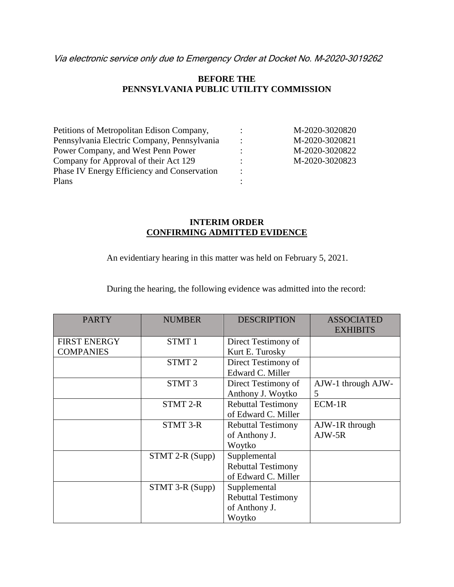Via electronic service only due to Emergency Order at Docket No. M-2020-3019262

### **BEFORE THE PENNSYLVANIA PUBLIC UTILITY COMMISSION**

| Petitions of Metropolitan Edison Company,          |                      | M-2020-3020820 |
|----------------------------------------------------|----------------------|----------------|
| Pennsylvania Electric Company, Pennsylvania        |                      | M-2020-3020821 |
| Power Company, and West Penn Power                 |                      | M-2020-3020822 |
| Company for Approval of their Act 129              |                      | M-2020-3020823 |
| <b>Phase IV Energy Efficiency and Conservation</b> | $\ddot{\phantom{a}}$ |                |
| Plans                                              |                      |                |

### **INTERIM ORDER CONFIRMING ADMITTED EVIDENCE**

An evidentiary hearing in this matter was held on February 5, 2021.

During the hearing, the following evidence was admitted into the record:

| <b>PARTY</b>        | <b>NUMBER</b>     | <b>DESCRIPTION</b>        | <b>ASSOCIATED</b><br><b>EXHIBITS</b> |
|---------------------|-------------------|---------------------------|--------------------------------------|
| <b>FIRST ENERGY</b> | STMT <sub>1</sub> | Direct Testimony of       |                                      |
| <b>COMPANIES</b>    |                   | Kurt E. Turosky           |                                      |
|                     | STMT <sub>2</sub> | Direct Testimony of       |                                      |
|                     |                   | Edward C. Miller          |                                      |
|                     | STMT <sub>3</sub> | Direct Testimony of       | AJW-1 through AJW-                   |
|                     |                   | Anthony J. Woytko         | 5                                    |
|                     | <b>STMT 2-R</b>   | <b>Rebuttal Testimony</b> | ECM-1R                               |
|                     |                   | of Edward C. Miller       |                                      |
|                     | <b>STMT 3-R</b>   | <b>Rebuttal Testimony</b> | AJW-1R through                       |
|                     |                   | of Anthony J.             | $AIW-5R$                             |
|                     |                   | Woytko                    |                                      |
|                     | STMT 2-R (Supp)   | Supplemental              |                                      |
|                     |                   | <b>Rebuttal Testimony</b> |                                      |
|                     |                   | of Edward C. Miller       |                                      |
|                     | STMT 3-R (Supp)   | Supplemental              |                                      |
|                     |                   | <b>Rebuttal Testimony</b> |                                      |
|                     |                   | of Anthony J.             |                                      |
|                     |                   | Woytko                    |                                      |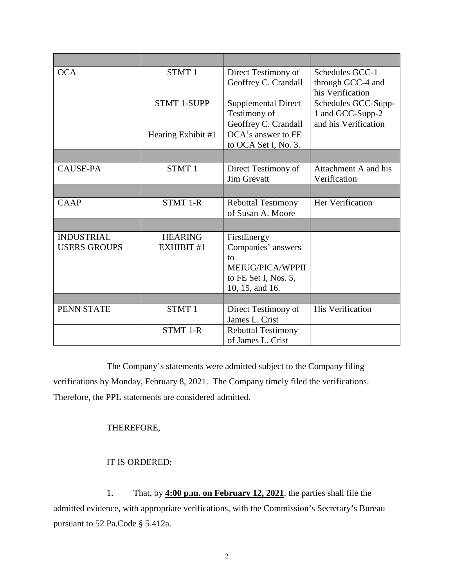| <b>OCA</b>                               | STMT <sub>1</sub>            | Direct Testimony of<br>Geoffrey C. Crandall                                                            | Schedules GCC-1<br>through GCC-4 and<br>his Verification        |
|------------------------------------------|------------------------------|--------------------------------------------------------------------------------------------------------|-----------------------------------------------------------------|
|                                          | <b>STMT 1-SUPP</b>           | <b>Supplemental Direct</b><br>Testimony of<br>Geoffrey C. Crandall                                     | Schedules GCC-Supp-<br>1 and GCC-Supp-2<br>and his Verification |
|                                          | Hearing Exhibit #1           | OCA's answer to FE<br>to OCA Set I, No. 3.                                                             |                                                                 |
|                                          |                              |                                                                                                        |                                                                 |
| <b>CAUSE-PA</b>                          | STMT <sub>1</sub>            | Direct Testimony of<br><b>Jim Grevatt</b>                                                              | Attachment A and his<br>Verification                            |
|                                          |                              |                                                                                                        |                                                                 |
| CAAP                                     | <b>STMT 1-R</b>              | <b>Rebuttal Testimony</b><br>of Susan A. Moore                                                         | Her Verification                                                |
|                                          |                              |                                                                                                        |                                                                 |
| <b>INDUSTRIAL</b><br><b>USERS GROUPS</b> | <b>HEARING</b><br>EXHIBIT #1 | FirstEnergy<br>Companies' answers<br>to<br>MEIUG/PICA/WPPII<br>to FE Set I, Nos. 5,<br>10, 15, and 16. |                                                                 |
|                                          |                              |                                                                                                        |                                                                 |
| PENN STATE                               | STMT <sub>1</sub>            | Direct Testimony of<br>James L. Crist                                                                  | <b>His Verification</b>                                         |
|                                          | <b>STMT 1-R</b>              | <b>Rebuttal Testimony</b><br>of James L. Crist                                                         |                                                                 |

The Company's statements were admitted subject to the Company filing verifications by Monday, February 8, 2021. The Company timely filed the verifications. Therefore, the PPL statements are considered admitted.

### THEREFORE,

### IT IS ORDERED:

1. That, by **4:00 p.m. on February 12, 2021**, the parties shall file the admitted evidence, with appropriate verifications, with the Commission's Secretary's Bureau pursuant to 52 Pa.Code § 5.412a.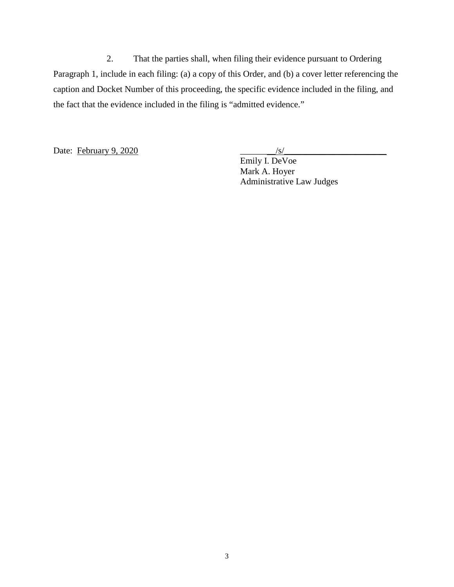2. That the parties shall, when filing their evidence pursuant to Ordering Paragraph 1, include in each filing: (a) a copy of this Order, and (b) a cover letter referencing the caption and Docket Number of this proceeding, the specific evidence included in the filing, and the fact that the evidence included in the filing is "admitted evidence."

Date: February 9, 2020

Emily I. DeVoe Mark A. Hoyer Administrative Law Judges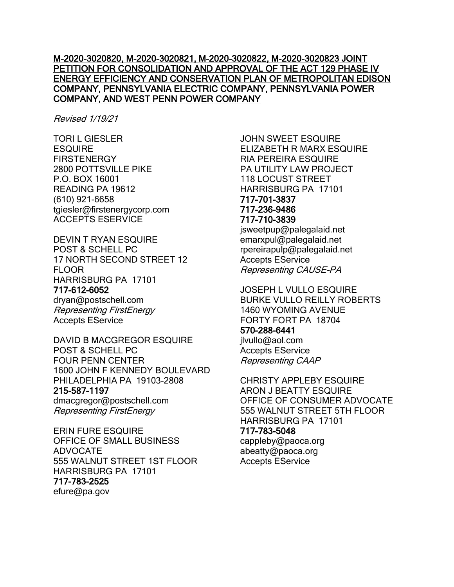### M-2020-3020820, M-2020-3020821, M-2020-3020822, M-2020-3020823 JOINT PETITION FOR CONSOLIDATION AND APPROVAL OF THE ACT 129 PHASE IV ENERGY EFFICIENCY AND CONSERVATION PLAN OF METROPOLITAN EDISON COMPANY, PENNSYLVANIA ELECTRIC COMPANY, PENNSYLVANIA POWER COMPANY, AND WEST PENN POWER COMPANY

Revised 1/19/21

TORI L GIESLER **ESQUIRE FIRSTENERGY** 2800 POTTSVILLE PIKE P.O. BOX 16001 READING PA 19612 (610) 921-6658 tgiesler@firstenergycorp.com ACCEPTS ESERVICE

DEVIN T RYAN ESQUIRE POST & SCHELL PC 17 NORTH SECOND STREET 12 FLOOR HARRISBURG PA 17101

### 717-612-6052

dryan@postschell.com Representing FirstEnergy Accepts EService

DAVID B MACGREGOR ESQUIRE POST & SCHELL PC FOUR PENN CENTER 1600 JOHN F KENNEDY BOULEVARD PHILADELPHIA PA 19103-2808 215-587-1197 dmacgregor@postschell.com Representing FirstEnergy

ERIN FURE ESQUIRE OFFICE OF SMALL BUSINESS ADVOCATE 555 WALNUT STREET 1ST FLOOR HARRISBURG PA 17101 717-783-2525 efure@pa.gov

JOHN SWEET ESQUIRE ELIZABETH R MARX ESQUIRE RIA PEREIRA ESQUIRE PA UTILITY LAW PROJECT 118 LOCUST STREET HARRISBURG PA 17101 717-701-3837 717-236-9486 717-710-3839

jsweetpup@palegalaid.net emarxpul@palegalaid.net rpereirapulp@palegalaid.net Accepts EService Representing CAUSE-PA

JOSEPH L VULLO ESQUIRE BURKE VULLO REILLY ROBERTS 1460 WYOMING AVENUE FORTY FORT PA 18704 570-288-6441 jlvullo@aol.com Accepts EService Representing CAAP

CHRISTY APPLEBY ESQUIRE ARON J BEATTY ESQUIRE OFFICE OF CONSUMER ADVOCATE 555 WALNUT STREET 5TH FLOOR HARRISBURG PA 17101 717-783-5048 cappleby@paoca.org abeatty@paoca.org Accepts EService